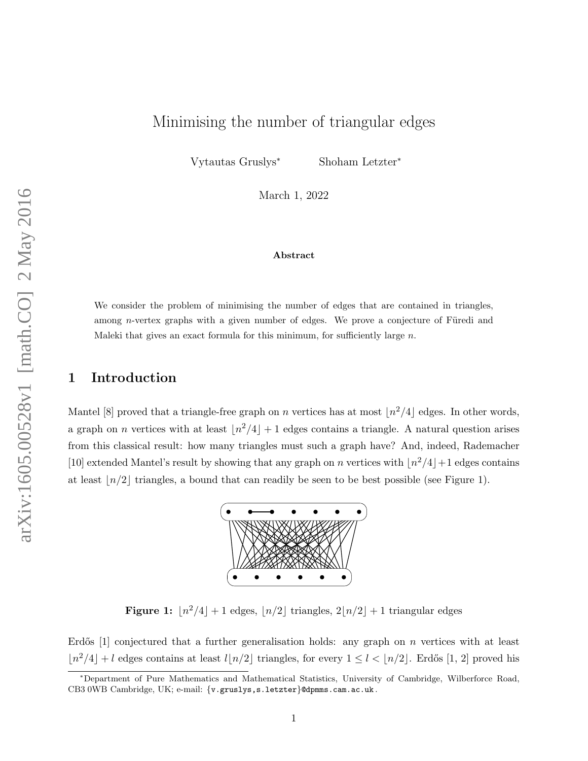# Minimising the number of triangular edges

Vytautas Gruslys<sup>∗</sup> Shoham Letzter<sup>∗</sup>

March 1, 2022

#### Abstract

We consider the problem of minimising the number of edges that are contained in triangles, among *n*-vertex graphs with a given number of edges. We prove a conjecture of Füredi and Maleki that gives an exact formula for this minimum, for sufficiently large  $n$ .

# 1 Introduction

<span id="page-0-0"></span>Mantel [\[8\]](#page-42-0) proved that a triangle-free graph on n vertices has at most  $\lfloor n^2/4 \rfloor$  edges. In other words, a graph on *n* vertices with at least  $\lfloor n^2/4 \rfloor + 1$  edges contains a triangle. A natural question arises from this classical result: how many triangles must such a graph have? And, indeed, Rademacher [\[10\]](#page-42-1) extended Mantel's result by showing that any graph on n vertices with  $\lfloor n^2/4\rfloor + 1$  edges contains at least  $\lfloor n/2 \rfloor$  triangles, a bound that can readily be seen to be best possible (see Figure [1\)](#page-0-0).



**Figure 1:**  $\lfloor n^2/4 \rfloor + 1$  edges,  $\lfloor n/2 \rfloor$  triangles,  $2\lfloor n/2 \rfloor + 1$  triangular edges

Erdős  $[1]$  conjectured that a further generalisation holds: any graph on n vertices with at least  $\lfloor n^2/4 \rfloor + l$  edges contains at least  $l\lfloor n/2 \rfloor$  triangles, for every  $1 \leq l < \lfloor n/2 \rfloor$ . Erdős [\[1,](#page-42-2) [2\]](#page-42-3) proved his

<sup>∗</sup>Department of Pure Mathematics and Mathematical Statistics, University of Cambridge, Wilberforce Road, CB3 0WB Cambridge, UK; e-mail: {v.gruslys,s.letzter}@dpmms.cam.ac.uk .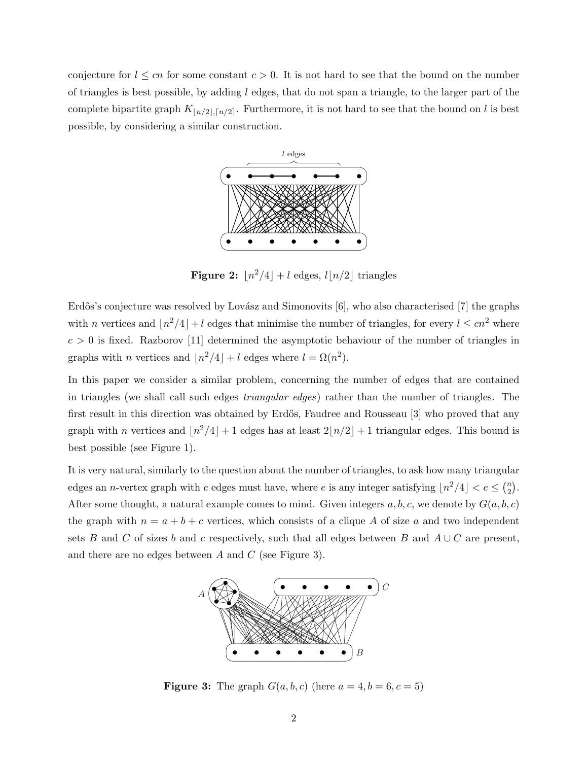conjecture for  $l \leq cn$  for some constant  $c > 0$ . It is not hard to see that the bound on the number of triangles is best possible, by adding  $l$  edges, that do not span a triangle, to the larger part of the complete bipartite graph  $K_{\lfloor n/2\rfloor,\lceil n/2\rceil}$ . Furthermore, it is not hard to see that the bound on l is best possible, by considering a similar construction.



Figure 2:  $\lfloor n^2/4 \rfloor + l$  edges,  $l \lfloor n/2 \rfloor$  triangles

Erdős's conjecture was resolved by Lovász and Simonovits [\[6\]](#page-42-4), who also characterised [\[7\]](#page-42-5) the graphs with n vertices and  $\lfloor n^2/4\rfloor + l$  edges that minimise the number of triangles, for every  $l \leq cn^2$  where  $c > 0$  is fixed. Razborov [\[11\]](#page-42-6) determined the asymptotic behaviour of the number of triangles in graphs with *n* vertices and  $\lfloor n^2/4 \rfloor + l$  edges where  $l = \Omega(n^2)$ .

In this paper we consider a similar problem, concerning the number of edges that are contained in triangles (we shall call such edges triangular edges) rather than the number of triangles. The first result in this direction was obtained by Erdős, Faudree and Rousseau [\[3\]](#page-42-7) who proved that any graph with n vertices and  $\lfloor n^2/4\rfloor + 1$  edges has at least  $2\lfloor n/2\rfloor + 1$  triangular edges. This bound is best possible (see Figure [1\)](#page-0-0).

<span id="page-1-0"></span>It is very natural, similarly to the question about the number of triangles, to ask how many triangular edges an *n*-vertex graph with e edges must have, where e is any integer satisfying  $\lfloor n^2/4\rfloor < e \leq \binom{n}{2}$  $\binom{n}{2}$ . After some thought, a natural example comes to mind. Given integers  $a, b, c$ , we denote by  $G(a, b, c)$ the graph with  $n = a + b + c$  vertices, which consists of a clique A of size a and two independent sets B and C of sizes b and c respectively, such that all edges between B and  $A \cup C$  are present, and there are no edges between  $A$  and  $C$  (see Figure [3\)](#page-1-0).



**Figure 3:** The graph  $G(a, b, c)$  (here  $a = 4, b = 6, c = 5$ )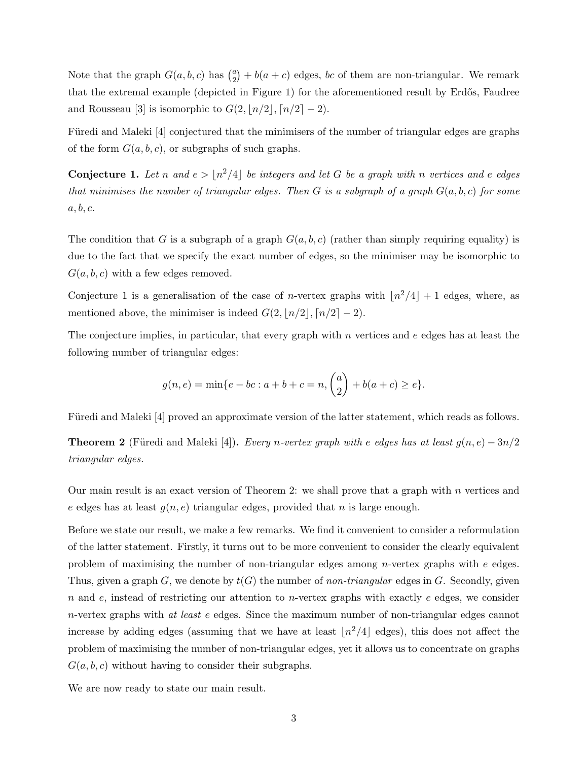Note that the graph  $G(a, b, c)$  has  $\binom{a}{2}$  $a_2^a$  +  $b(a + c)$  edges, bc of them are non-triangular. We remark that the extremal example (depicted in Figure [1\)](#page-0-0) for the aforementioned result by Erdős, Faudree and Rousseau [\[3\]](#page-42-7) is isomorphic to  $G(2, \lfloor n/2 \rfloor, \lceil n/2 \rceil - 2)$ .

Füredi and Maleki [\[4\]](#page-42-8) conjectured that the minimisers of the number of triangular edges are graphs of the form  $G(a, b, c)$ , or subgraphs of such graphs.

<span id="page-2-0"></span>**Conjecture 1.** Let n and  $e > \lfloor n^2/4 \rfloor$  be integers and let G be a graph with n vertices and e edges that minimises the number of triangular edges. Then G is a subgraph of a graph  $G(a, b, c)$  for some  $a, b, c.$ 

The condition that G is a subgraph of a graph  $G(a, b, c)$  (rather than simply requiring equality) is due to the fact that we specify the exact number of edges, so the minimiser may be isomorphic to  $G(a, b, c)$  with a few edges removed.

Conjecture [1](#page-2-0) is a generalisation of the case of *n*-vertex graphs with  $\lfloor n^2/4 \rfloor + 1$  edges, where, as mentioned above, the minimiser is indeed  $G(2, \lfloor n/2 \rfloor, \lceil n/2 \rceil - 2)$ .

The conjecture implies, in particular, that every graph with  $n$  vertices and  $e$  edges has at least the following number of triangular edges:

$$
g(n,e) = \min\{e - bc : a + b + c = n, \binom{a}{2} + b(a + c) \ge e\}.
$$

Füredi and Maleki [\[4\]](#page-42-8) proved an approximate version of the latter statement, which reads as follows.

<span id="page-2-1"></span>**Theorem 2** (Füredi and Maleki [\[4\]](#page-42-8)). Every n-vertex graph with e edges has at least  $g(n, e) - 3n/2$ triangular edges.

Our main result is an exact version of Theorem [2:](#page-2-1) we shall prove that a graph with  $n$  vertices and e edges has at least  $g(n, e)$  triangular edges, provided that n is large enough.

Before we state our result, we make a few remarks. We find it convenient to consider a reformulation of the latter statement. Firstly, it turns out to be more convenient to consider the clearly equivalent problem of maximising the number of non-triangular edges among *n*-vertex graphs with  $e$  edges. Thus, given a graph G, we denote by  $t(G)$  the number of non-triangular edges in G. Secondly, given n and e, instead of restricting our attention to n-vertex graphs with exactly  $e$  edges, we consider  $n$ -vertex graphs with at least e edges. Since the maximum number of non-triangular edges cannot increase by adding edges (assuming that we have at least  $\lfloor n^2/4\rfloor$  edges), this does not affect the problem of maximising the number of non-triangular edges, yet it allows us to concentrate on graphs  $G(a, b, c)$  without having to consider their subgraphs.

We are now ready to state our main result.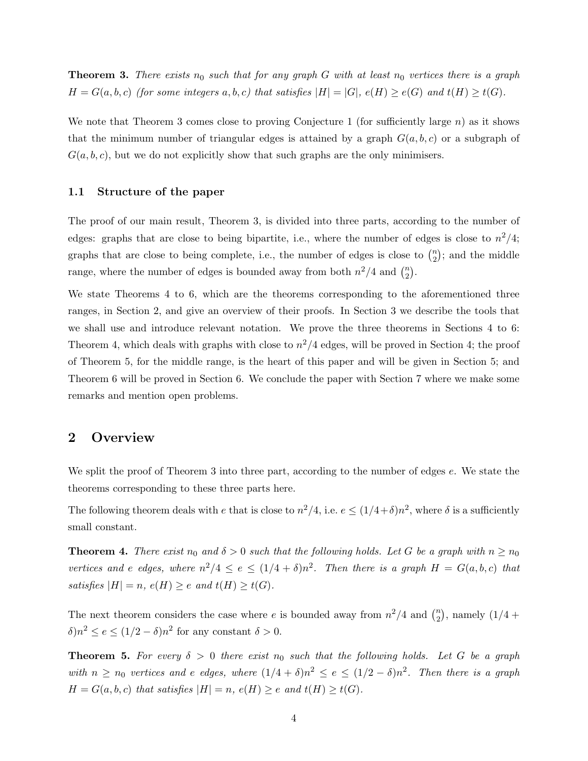<span id="page-3-0"></span>**Theorem 3.** There exists  $n_0$  such that for any graph G with at least  $n_0$  vertices there is a graph  $H = G(a, b, c)$  (for some integers a, b, c) that satisfies  $|H| = |G|$ ,  $e(H) \ge e(G)$  and  $t(H) \ge t(G)$ .

We note that Theorem [3](#page-3-0) comes close to proving Conjecture [1](#page-2-0) (for sufficiently large n) as it shows that the minimum number of triangular edges is attained by a graph  $G(a, b, c)$  or a subgraph of  $G(a, b, c)$ , but we do not explicitly show that such graphs are the only minimisers.

### 1.1 Structure of the paper

The proof of our main result, Theorem [3,](#page-3-0) is divided into three parts, according to the number of edges: graphs that are close to being bipartite, i.e., where the number of edges is close to  $n^2/4$ ; graphs that are close to being complete, i.e., the number of edges is close to  $\binom{n}{2}$  $\binom{n}{2}$ ; and the middle range, where the number of edges is bounded away from both  $n^2/4$  and  $\binom{n}{2}$  $\binom{n}{2}$ .

We state Theorems [4](#page-3-1) to [6,](#page-4-0) which are the theorems corresponding to the aforementioned three ranges, in Section [2,](#page-3-2) and give an overview of their proofs. In Section [3](#page-4-1) we describe the tools that we shall use and introduce relevant notation. We prove the three theorems in Sections [4](#page-12-0) to [6:](#page-36-0) Theorem [4,](#page-3-1) which deals with graphs with close to  $n^2/4$  edges, will be proved in Section [4;](#page-12-0) the proof of Theorem [5,](#page-3-3) for the middle range, is the heart of this paper and will be given in Section [5;](#page-22-0) and Theorem [6](#page-4-0) will be proved in Section [6.](#page-36-0) We conclude the paper with Section [7](#page-40-0) where we make some remarks and mention open problems.

### <span id="page-3-2"></span>2 Overview

We split the proof of Theorem [3](#page-3-0) into three part, according to the number of edges e. We state the theorems corresponding to these three parts here.

The following theorem deals with e that is close to  $n^2/4$ , i.e.  $e \leq (1/4+\delta)n^2$ , where  $\delta$  is a sufficiently small constant.

<span id="page-3-1"></span>**Theorem 4.** There exist  $n_0$  and  $\delta > 0$  such that the following holds. Let G be a graph with  $n \geq n_0$ vertices and e edges, where  $n^2/4 \le e \le (1/4 + \delta)n^2$ . Then there is a graph  $H = G(a, b, c)$  that satisfies  $|H| = n$ ,  $e(H) \ge e$  and  $t(H) \ge t(G)$ .

The next theorem considers the case where e is bounded away from  $n^2/4$  and  $\binom{n}{2}$  $\binom{n}{2}$ , namely  $(1/4 +$  $\delta$ ) $n^2 \le e \le (1/2 - \delta)n^2$  for any constant  $\delta > 0$ .

<span id="page-3-3"></span>**Theorem 5.** For every  $\delta > 0$  there exist  $n_0$  such that the following holds. Let G be a graph with  $n \ge n_0$  vertices and e edges, where  $(1/4 + \delta)n^2 \le e \le (1/2 - \delta)n^2$ . Then there is a graph  $H = G(a, b, c)$  that satisfies  $|H| = n$ ,  $e(H) \ge e$  and  $t(H) \ge t(G)$ .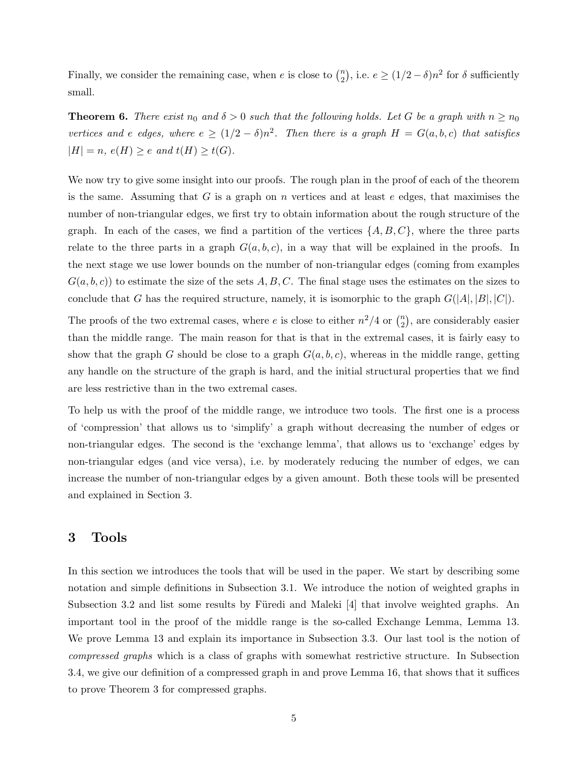Finally, we consider the remaining case, when e is close to  $\binom{n}{2}$  $\binom{n}{2}$ , i.e.  $e \geq (1/2 - \delta)n^2$  for  $\delta$  sufficiently small.

<span id="page-4-0"></span>**Theorem 6.** There exist  $n_0$  and  $\delta > 0$  such that the following holds. Let G be a graph with  $n \ge n_0$ vertices and e edges, where  $e \ge (1/2 - \delta)n^2$ . Then there is a graph  $H = G(a, b, c)$  that satisfies  $|H| = n$ ,  $e(H) \ge e$  and  $t(H) \ge t(G)$ .

We now try to give some insight into our proofs. The rough plan in the proof of each of the theorem is the same. Assuming that G is a graph on n vertices and at least  $e$  edges, that maximises the number of non-triangular edges, we first try to obtain information about the rough structure of the graph. In each of the cases, we find a partition of the vertices  $\{A, B, C\}$ , where the three parts relate to the three parts in a graph  $G(a, b, c)$ , in a way that will be explained in the proofs. In the next stage we use lower bounds on the number of non-triangular edges (coming from examples  $G(a, b, c)$  to estimate the size of the sets A, B, C. The final stage uses the estimates on the sizes to conclude that G has the required structure, namely, it is isomorphic to the graph  $G(|A|, |B|, |C|)$ .

The proofs of the two extremal cases, where e is close to either  $n^2/4$  or  $\binom{n}{2}$  $\binom{n}{2}$ , are considerably easier than the middle range. The main reason for that is that in the extremal cases, it is fairly easy to show that the graph G should be close to a graph  $G(a, b, c)$ , whereas in the middle range, getting any handle on the structure of the graph is hard, and the initial structural properties that we find are less restrictive than in the two extremal cases.

To help us with the proof of the middle range, we introduce two tools. The first one is a process of 'compression' that allows us to 'simplify' a graph without decreasing the number of edges or non-triangular edges. The second is the 'exchange lemma', that allows us to 'exchange' edges by non-triangular edges (and vice versa), i.e. by moderately reducing the number of edges, we can increase the number of non-triangular edges by a given amount. Both these tools will be presented and explained in Section [3.](#page-4-1)

## <span id="page-4-1"></span>3 Tools

In this section we introduces the tools that will be used in the paper. We start by describing some notation and simple definitions in Subsection [3.1.](#page-5-0) We introduce the notion of weighted graphs in Subsection [3.2](#page-6-0) and list some results by Füredi and Maleki  $|4|$  that involve weighted graphs. An important tool in the proof of the middle range is the so-called Exchange Lemma, Lemma [13.](#page-9-0) We prove Lemma [13](#page-9-0) and explain its importance in Subsection [3.3.](#page-8-0) Our last tool is the notion of compressed graphs which is a class of graphs with somewhat restrictive structure. In Subsection [3.4,](#page-10-0) we give our definition of a compressed graph in and prove Lemma [16,](#page-11-0) that shows that it suffices to prove Theorem [3](#page-3-0) for compressed graphs.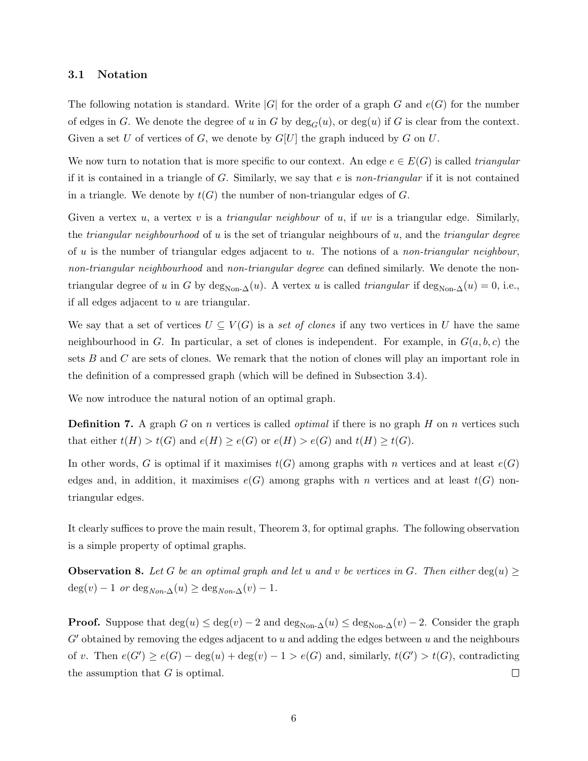#### <span id="page-5-0"></span>3.1 Notation

The following notation is standard. Write  $|G|$  for the order of a graph G and  $e(G)$  for the number of edges in G. We denote the degree of u in G by  $deg_G(u)$ , or  $deg(u)$  if G is clear from the context. Given a set U of vertices of G, we denote by  $G[U]$  the graph induced by G on U.

We now turn to notation that is more specific to our context. An edge  $e \in E(G)$  is called *triangular* if it is contained in a triangle of  $G$ . Similarly, we say that e is non-triangular if it is not contained in a triangle. We denote by  $t(G)$  the number of non-triangular edges of G.

Given a vertex u, a vertex v is a *triangular neighbour* of u, if uv is a triangular edge. Similarly, the *triangular neighbourhood* of u is the set of triangular neighbours of u, and the *triangular degree* of u is the number of triangular edges adjacent to u. The notions of a non-triangular neighbour, non-triangular neighbourhood and non-triangular degree can defined similarly. We denote the nontriangular degree of u in G by deg<sub>Non- $\Delta(u)$ </sub>. A vertex u is called *triangular* if deg<sub>Non- $\Delta(u) = 0$ , i.e.,</sub> if all edges adjacent to  $u$  are triangular.

We say that a set of vertices  $U \subseteq V(G)$  is a set of clones if any two vertices in U have the same neighbourhood in G. In particular, a set of clones is independent. For example, in  $G(a, b, c)$  the sets  $B$  and  $C$  are sets of clones. We remark that the notion of clones will play an important role in the definition of a compressed graph (which will be defined in Subsection [3.4\)](#page-10-0).

<span id="page-5-1"></span>We now introduce the natural notion of an optimal graph.

**Definition 7.** A graph G on n vertices is called *optimal* if there is no graph H on n vertices such that either  $t(H) > t(G)$  and  $e(H) \ge e(G)$  or  $e(H) > e(G)$  and  $t(H) \ge t(G)$ .

In other words, G is optimal if it maximises  $t(G)$  among graphs with n vertices and at least  $e(G)$ edges and, in addition, it maximises  $e(G)$  among graphs with n vertices and at least  $t(G)$  nontriangular edges.

It clearly suffices to prove the main result, Theorem [3,](#page-3-0) for optimal graphs. The following observation is a simple property of optimal graphs.

<span id="page-5-2"></span>**Observation 8.** Let G be an optimal graph and let u and v be vertices in G. Then either deg(u) >  $deg(v) - 1$  or  $deg_{Non-\Delta}(u) \geq deg_{Non-\Delta}(v) - 1$ .

**Proof.** Suppose that  $\deg(u) \leq \deg(v) - 2$  and  $\deg_{\text{Non-}\Delta}(u) \leq \deg_{\text{Non-}\Delta}(v) - 2$ . Consider the graph  $G'$  obtained by removing the edges adjacent to u and adding the edges between u and the neighbours of v. Then  $e(G') \ge e(G) - \deg(u) + \deg(v) - 1 > e(G)$  and, similarly,  $t(G') > t(G)$ , contradicting the assumption that  $G$  is optimal.  $\Box$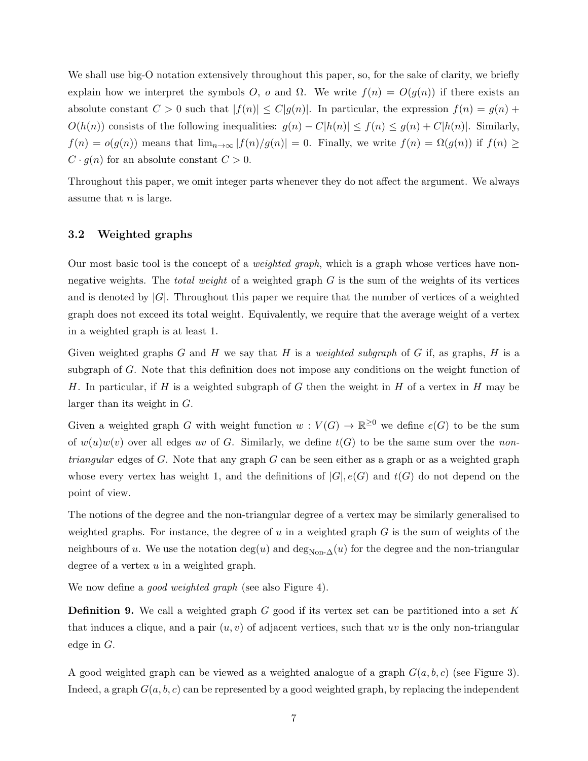We shall use big-O notation extensively throughout this paper, so, for the sake of clarity, we briefly explain how we interpret the symbols O, o and  $\Omega$ . We write  $f(n) = O(g(n))$  if there exists an absolute constant  $C > 0$  such that  $|f(n)| \leq C |g(n)|$ . In particular, the expression  $f(n) = g(n)$  +  $O(h(n))$  consists of the following inequalities:  $g(n) - C|h(n)| \le f(n) \le g(n) + C|h(n)|$ . Similarly,  $f(n) = o(g(n))$  means that  $\lim_{n\to\infty} |f(n)/g(n)| = 0$ . Finally, we write  $f(n) = \Omega(g(n))$  if  $f(n) \ge$  $C \cdot g(n)$  for an absolute constant  $C > 0$ .

Throughout this paper, we omit integer parts whenever they do not affect the argument. We always assume that  $n$  is large.

### <span id="page-6-0"></span>3.2 Weighted graphs

Our most basic tool is the concept of a *weighted graph*, which is a graph whose vertices have nonnegative weights. The *total weight* of a weighted graph  $G$  is the sum of the weights of its vertices and is denoted by  $|G|$ . Throughout this paper we require that the number of vertices of a weighted graph does not exceed its total weight. Equivalently, we require that the average weight of a vertex in a weighted graph is at least 1.

Given weighted graphs G and H we say that H is a *weighted subgraph* of G if, as graphs, H is a subgraph of G. Note that this definition does not impose any conditions on the weight function of H. In particular, if H is a weighted subgraph of G then the weight in H of a vertex in H may be larger than its weight in G.

Given a weighted graph G with weight function  $w: V(G) \to \mathbb{R}^{\geq 0}$  we define  $e(G)$  to be the sum of  $w(u)w(v)$  over all edges uv of G. Similarly, we define  $t(G)$  to be the same sum over the non*triangular* edges of G. Note that any graph G can be seen either as a graph or as a weighted graph whose every vertex has weight 1, and the definitions of  $|G|, e(G)$  and  $t(G)$  do not depend on the point of view.

The notions of the degree and the non-triangular degree of a vertex may be similarly generalised to weighted graphs. For instance, the degree of u in a weighted graph  $G$  is the sum of weights of the neighbours of u. We use the notation deg(u) and deg<sub>Non- $\Delta$ </sub>(u) for the degree and the non-triangular degree of a vertex  $u$  in a weighted graph.

<span id="page-6-1"></span>We now define a *good weighted graph* (see also Figure [4\)](#page-7-0).

**Definition 9.** We call a weighted graph G good if its vertex set can be partitioned into a set K that induces a clique, and a pair  $(u, v)$  of adjacent vertices, such that uv is the only non-triangular edge in G.

A good weighted graph can be viewed as a weighted analogue of a graph  $G(a, b, c)$  (see Figure [3\)](#page-1-0). Indeed, a graph  $G(a, b, c)$  can be represented by a good weighted graph, by replacing the independent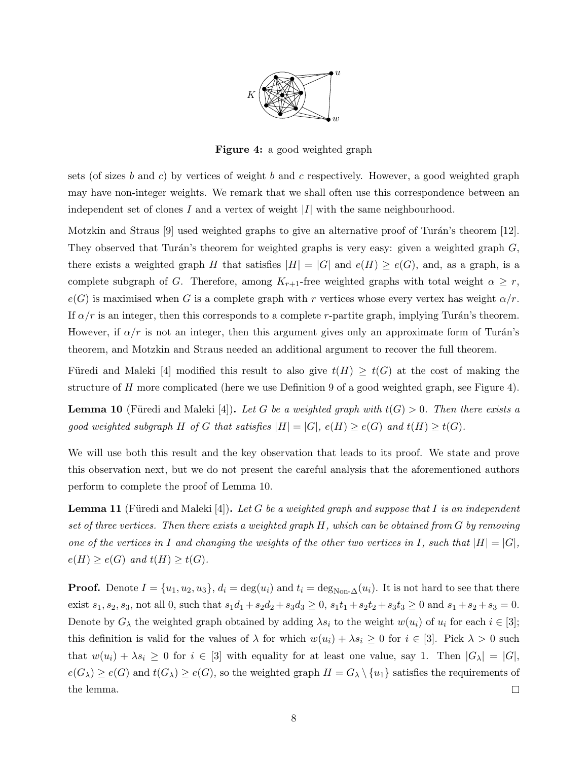

Figure 4: a good weighted graph

<span id="page-7-0"></span>sets (of sizes b and c) by vertices of weight b and c respectively. However, a good weighted graph may have non-integer weights. We remark that we shall often use this correspondence between an independent set of clones I and a vertex of weight  $|I|$  with the same neighbourhood.

Motzkin and Straus  $[9]$  used weighted graphs to give an alternative proof of Turán's theorem  $[12]$ . They observed that Turán's theorem for weighted graphs is very easy: given a weighted graph  $G$ , there exists a weighted graph H that satisfies  $|H| = |G|$  and  $e(H) \ge e(G)$ , and, as a graph, is a complete subgraph of G. Therefore, among  $K_{r+1}$ -free weighted graphs with total weight  $\alpha \geq r$ ,  $e(G)$  is maximised when G is a complete graph with r vertices whose every vertex has weight  $\alpha/r$ . If  $\alpha/r$  is an integer, then this corresponds to a complete r-partite graph, implying Turán's theorem. However, if  $\alpha/r$  is not an integer, then this argument gives only an approximate form of Turán's theorem, and Motzkin and Straus needed an additional argument to recover the full theorem.

Füredi and Maleki [\[4\]](#page-42-8) modified this result to also give  $t(H) \geq t(G)$  at the cost of making the structure of H more complicated (here we use Definition [9](#page-6-1) of a good weighted graph, see Figure [4\)](#page-7-0).

<span id="page-7-1"></span>**Lemma 10** (Füredi and Maleki [\[4\]](#page-42-8)). Let G be a weighted graph with  $t(G) > 0$ . Then there exists a good weighted subgraph H of G that satisfies  $|H| = |G|$ ,  $e(H) \ge e(G)$  and  $t(H) \ge t(G)$ .

We will use both this result and the key observation that leads to its proof. We state and prove this observation next, but we do not present the careful analysis that the aforementioned authors perform to complete the proof of Lemma [10.](#page-7-1)

<span id="page-7-2"></span>**Lemma 11** (Füredi and Maleki [\[4\]](#page-42-8)). Let G be a weighted graph and suppose that I is an independent set of three vertices. Then there exists a weighted graph  $H$ , which can be obtained from  $G$  by removing one of the vertices in I and changing the weights of the other two vertices in I, such that  $|H| = |G|$ ,  $e(H) \geq e(G)$  and  $t(H) \geq t(G)$ .

**Proof.** Denote  $I = \{u_1, u_2, u_3\}$ ,  $d_i = \deg(u_i)$  and  $t_i = \deg_{\text{Non-}\Delta}(u_i)$ . It is not hard to see that there exist  $s_1, s_2, s_3$ , not all 0, such that  $s_1d_1 + s_2d_2 + s_3d_3 \ge 0$ ,  $s_1t_1 + s_2t_2 + s_3t_3 \ge 0$  and  $s_1 + s_2 + s_3 = 0$ . Denote by  $G_\lambda$  the weighted graph obtained by adding  $\lambda s_i$  to the weight  $w(u_i)$  of  $u_i$  for each  $i \in [3]$ ; this definition is valid for the values of  $\lambda$  for which  $w(u_i) + \lambda s_i \geq 0$  for  $i \in [3]$ . Pick  $\lambda > 0$  such that  $w(u_i) + \lambda s_i \geq 0$  for  $i \in [3]$  with equality for at least one value, say 1. Then  $|G_\lambda| = |G|$ ,  $e(G_\lambda) \geq e(G)$  and  $t(G_\lambda) \geq e(G)$ , so the weighted graph  $H = G_\lambda \setminus \{u_1\}$  satisfies the requirements of the lemma.  $\Box$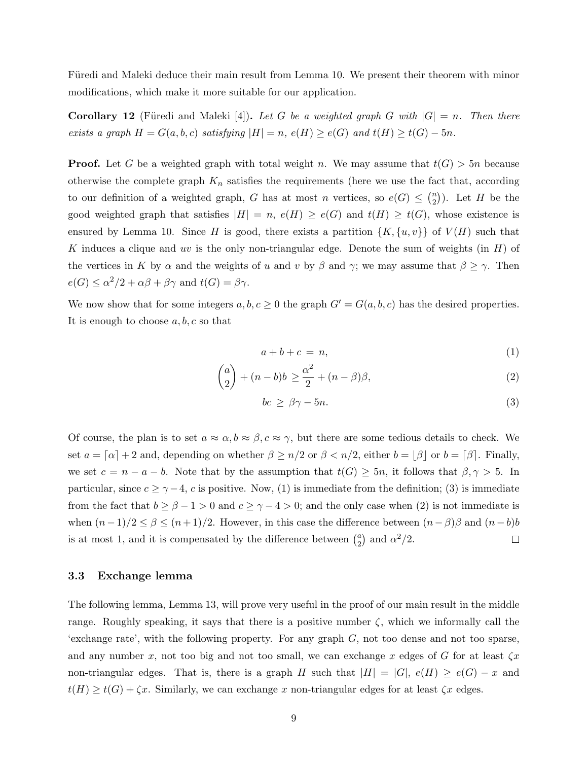Füredi and Maleki deduce their main result from Lemma [10.](#page-7-1) We present their theorem with minor modifications, which make it more suitable for our application.

<span id="page-8-4"></span>**Corollary 12** (Füredi and Maleki [\[4\]](#page-42-8)). Let G be a weighted graph G with  $|G| = n$ . Then there exists a graph  $H = G(a, b, c)$  satisfying  $|H| = n$ ,  $e(H) \ge e(G)$  and  $t(H) \ge t(G) - 5n$ .

**Proof.** Let G be a weighted graph with total weight n. We may assume that  $t(G) > 5n$  because otherwise the complete graph  $K_n$  satisfies the requirements (here we use the fact that, according to our definition of a weighted graph, G has at most n vertices, so  $e(G) \leq {n \choose 2}$  $\binom{n}{2}$ ). Let H be the good weighted graph that satisfies  $|H| = n$ ,  $e(H) \ge e(G)$  and  $t(H) \ge t(G)$ , whose existence is ensured by Lemma [10.](#page-7-1) Since H is good, there exists a partition  $\{K, \{u, v\}\}\$  of  $V(H)$  such that K induces a clique and uv is the only non-triangular edge. Denote the sum of weights (in  $H$ ) of the vertices in K by  $\alpha$  and the weights of u and v by  $\beta$  and  $\gamma$ ; we may assume that  $\beta \geq \gamma$ . Then  $e(G) \le \alpha^2/2 + \alpha\beta + \beta\gamma$  and  $t(G) = \beta\gamma$ .

We now show that for some integers  $a, b, c \ge 0$  the graph  $G' = G(a, b, c)$  has the desired properties. It is enough to choose  $a, b, c$  so that

<span id="page-8-3"></span><span id="page-8-1"></span>
$$
a+b+c=n,\tag{1}
$$

$$
\binom{a}{2} + (n-b)b \ge \frac{\alpha^2}{2} + (n-\beta)\beta,
$$
\n(2)

<span id="page-8-2"></span>
$$
bc \ge \beta\gamma - 5n. \tag{3}
$$

Of course, the plan is to set  $a \approx \alpha, b \approx \beta, c \approx \gamma$ , but there are some tedious details to check. We set  $a = \lceil \alpha \rceil + 2$  and, depending on whether  $\beta \geq n/2$  or  $\beta < n/2$ , either  $b = \lfloor \beta \rfloor$  or  $b = \lceil \beta \rceil$ . Finally, we set  $c = n - a - b$ . Note that by the assumption that  $t(G) \ge 5n$ , it follows that  $\beta, \gamma > 5$ . In particular, since  $c \geq \gamma - 4$ , c is positive. Now, [\(1\)](#page-8-1) is immediate from the definition; [\(3\)](#page-8-2) is immediate from the fact that  $b \ge \beta - 1 > 0$  and  $c \ge \gamma - 4 > 0$ ; and the only case when [\(2\)](#page-8-3) is not immediate is when  $(n-1)/2 \leq \beta \leq (n+1)/2$ . However, in this case the difference between  $(n-\beta)\beta$  and  $(n-b)b$ is at most 1, and it is compensated by the difference between  $\binom{a}{2}$  $a_2^a$  and  $\alpha^2/2$ .  $\Box$ 

### <span id="page-8-0"></span>3.3 Exchange lemma

The following lemma, Lemma [13,](#page-9-0) will prove very useful in the proof of our main result in the middle range. Roughly speaking, it says that there is a positive number  $\zeta$ , which we informally call the 'exchange rate', with the following property. For any graph  $G$ , not too dense and not too sparse, and any number x, not too big and not too small, we can exchange x edges of G for at least  $\zeta x$ non-triangular edges. That is, there is a graph H such that  $|H| = |G|$ ,  $e(H) \ge e(G) - x$  and  $t(H) \geq t(G) + \zeta x$ . Similarly, we can exchange x non-triangular edges for at least  $\zeta x$  edges.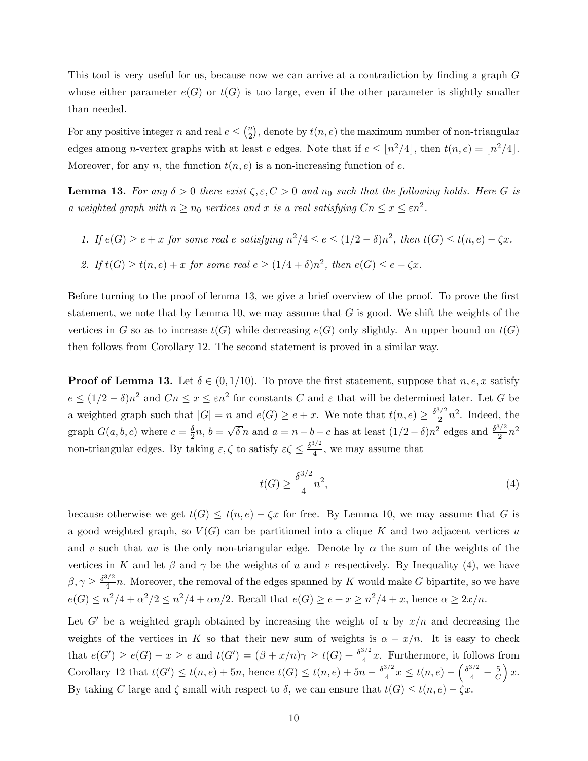This tool is very useful for us, because now we can arrive at a contradiction by finding a graph G whose either parameter  $e(G)$  or  $t(G)$  is too large, even if the other parameter is slightly smaller than needed.

For any positive integer n and real  $e \leq {n \choose 2}$  $\binom{n}{2}$ , denote by  $t(n, e)$  the maximum number of non-triangular edges among *n*-vertex graphs with at least *e* edges. Note that if  $e \leq \lfloor n^2/4 \rfloor$ , then  $t(n, e) = \lfloor n^2/4 \rfloor$ . Moreover, for any n, the function  $t(n, e)$  is a non-increasing function of e.

<span id="page-9-0"></span>**Lemma 13.** For any  $\delta > 0$  there exist  $\zeta, \varepsilon, C > 0$  and  $n_0$  such that the following holds. Here G is a weighted graph with  $n \ge n_0$  vertices and x is a real satisfying  $Cn \le x \le \varepsilon n^2$ .

- 1. If  $e(G) \geq e + x$  for some real e satisfying  $n^2/4 \leq e \leq (1/2 \delta)n^2$ , then  $t(G) \leq t(n, e) \zeta x$ .
- 2. If  $t(G) \ge t(n, e) + x$  for some real  $e \ge (1/4 + \delta)n^2$ , then  $e(G) \le e \zeta x$ .

Before turning to the proof of lemma [13,](#page-9-0) we give a brief overview of the proof. To prove the first statement, we note that by Lemma [10,](#page-7-1) we may assume that  $G$  is good. We shift the weights of the vertices in G so as to increase  $t(G)$  while decreasing  $e(G)$  only slightly. An upper bound on  $t(G)$ then follows from Corollary [12.](#page-8-4) The second statement is proved in a similar way.

**Proof of Lemma [13.](#page-9-0)** Let  $\delta \in (0, 1/10)$ . To prove the first statement, suppose that  $n, e, x$  satisfy  $e \leq (1/2 - \delta)n^2$  and  $Cn \leq x \leq \varepsilon n^2$  for constants C and  $\varepsilon$  that will be determined later. Let G be a weighted graph such that  $|G| = n$  and  $e(G) \ge e + x$ . We note that  $t(n, e) \ge \frac{\delta^{3/2}}{2}$  $\frac{3}{2}n^2$ . Indeed, the graph  $G(a, b, c)$  where  $c = \frac{\delta}{2}$  $\frac{\delta}{2}n, b =$ √  $\delta n$  and  $a = n - b - c$  has at least  $(1/2 - \delta)n^2$  edges and  $\frac{\delta^{3/2}}{2}$  $\frac{3/2}{2}n^2$ non-triangular edges. By taking  $\varepsilon, \zeta$  to satisfy  $\varepsilon \zeta \leq \frac{\delta^{3/2}}{4}$  $\frac{3}{4}$ , we may assume that

<span id="page-9-1"></span>
$$
t(G) \ge \frac{\delta^{3/2}}{4} n^2,\tag{4}
$$

because otherwise we get  $t(G) \leq t(n, e) - \zeta x$  for free. By Lemma [10,](#page-7-1) we may assume that G is a good weighted graph, so  $V(G)$  can be partitioned into a clique K and two adjacent vertices u and v such that uv is the only non-triangular edge. Denote by  $\alpha$  the sum of the weights of the vertices in K and let  $\beta$  and  $\gamma$  be the weights of u and v respectively. By Inequality [\(4\)](#page-9-1), we have  $\beta, \gamma \geq \frac{\delta^{3/2}}{4}$  $\frac{d}{4}n$ . Moreover, the removal of the edges spanned by K would make G bipartite, so we have  $e(G) \leq n^2/4 + \alpha^2/2 \leq n^2/4 + \alpha n/2$ . Recall that  $e(G) \geq e + x \geq n^2/4 + x$ , hence  $\alpha \geq 2x/n$ .

Let G' be a weighted graph obtained by increasing the weight of u by  $x/n$  and decreasing the weights of the vertices in K so that their new sum of weights is  $\alpha - x/n$ . It is easy to check that  $e(G') \ge e(G) - x \ge e$  and  $t(G') = (\beta + x/n)\gamma \ge t(G) + \frac{\delta^{3/2}}{4}$  $\frac{\sqrt{2}}{4}x$ . Furthermore, it follows from Corollary [12](#page-8-4) that  $t(G') \leq t(n, e) + 5n$ , hence  $t(G) \leq t(n, e) + 5n - \frac{\delta^{3/2}}{4}$  $\frac{3/2}{4}x \le t(n,e) - \left(\frac{\delta^{3/2}}{4} - \frac{5}{C}\right)$  $\big) x.$ By taking C large and  $\zeta$  small with respect to  $\delta$ , we can ensure that  $t(G) \leq t(n, e) - \zeta x$ .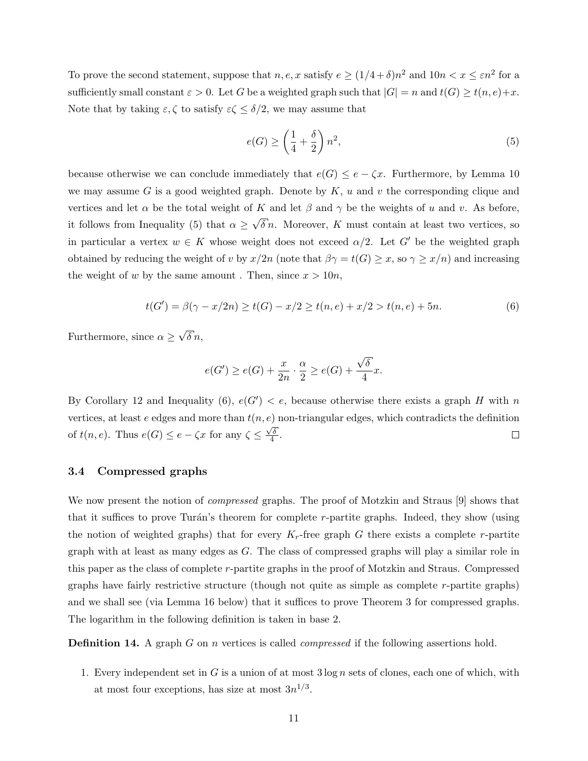To prove the second statement, suppose that  $n, e, x$  satisfy  $e \geq (1/4 + \delta)n^2$  and  $10n < x \leq \varepsilon n^2$  for a sufficiently small constant  $\varepsilon > 0$ . Let G be a weighted graph such that  $|G| = n$  and  $t(G) \ge t(n, e) + x$ . Note that by taking  $\varepsilon, \zeta$  to satisfy  $\varepsilon \zeta \leq \delta/2$ , we may assume that

<span id="page-10-1"></span>
$$
e(G) \ge \left(\frac{1}{4} + \frac{\delta}{2}\right)n^2,\tag{5}
$$

because otherwise we can conclude immediately that  $e(G) \leq e - \zeta x$ . Furthermore, by Lemma [10](#page-7-1) we may assume G is a good weighted graph. Denote by  $K$ , u and v the corresponding clique and vertices and let  $\alpha$  be the total weight of K and let  $\beta$  and  $\gamma$  be the weights of u and v. As before, it follows from Inequality [\(5\)](#page-10-1) that  $\alpha \geq$ √  $\delta n$ . Moreover, K must contain at least two vertices, so in particular a vertex  $w \in K$  whose weight does not exceed  $\alpha/2$ . Let G' be the weighted graph obtained by reducing the weight of v by  $x/2n$  (note that  $\beta\gamma = t(G) \geq x$ , so  $\gamma \geq x/n$ ) and increasing the weight of w by the same amount. Then, since  $x > 10n$ ,

<span id="page-10-2"></span>
$$
t(G') = \beta(\gamma - x/2n) \ge t(G) - x/2 \ge t(n, e) + x/2 > t(n, e) + 5n.
$$
 (6)

Furthermore, since  $\alpha \geq$ √  $\delta$   $n,$ 

$$
e(G') \ge e(G) + \frac{x}{2n} \cdot \frac{\alpha}{2} \ge e(G) + \frac{\sqrt{\delta}}{4}x.
$$

By Corollary [12](#page-8-4) and Inequality [\(6\)](#page-10-2),  $e(G') < e$ , because otherwise there exists a graph H with n vertices, at least  $e$  edges and more than  $t(n, e)$  non-triangular edges, which contradicts the definition of  $t(n, e)$ . Thus  $e(G) \leq e - \zeta x$  for any  $\zeta \leq \frac{\sqrt{\delta}}{4}$  $\frac{\delta}{4}$ .  $\Box$ 

#### <span id="page-10-0"></span>3.4 Compressed graphs

We now present the notion of *compressed* graphs. The proof of Motzkin and Straus [\[9\]](#page-42-9) shows that that it suffices to prove Turán's theorem for complete  $r$ -partite graphs. Indeed, they show (using the notion of weighted graphs) that for every  $K_r$ -free graph G there exists a complete r-partite graph with at least as many edges as  $G$ . The class of compressed graphs will play a similar role in this paper as the class of complete r-partite graphs in the proof of Motzkin and Straus. Compressed graphs have fairly restrictive structure (though not quite as simple as complete  $r$ -partite graphs) and we shall see (via Lemma [16](#page-11-0) below) that it suffices to prove Theorem [3](#page-3-0) for compressed graphs. The logarithm in the following definition is taken in base 2.

<span id="page-10-4"></span>**Definition 14.** A graph G on n vertices is called *compressed* if the following assertions hold.

<span id="page-10-3"></span>1. Every independent set in G is a union of at most  $3 \log n$  sets of clones, each one of which, with at most four exceptions, has size at most  $3n^{1/3}$ .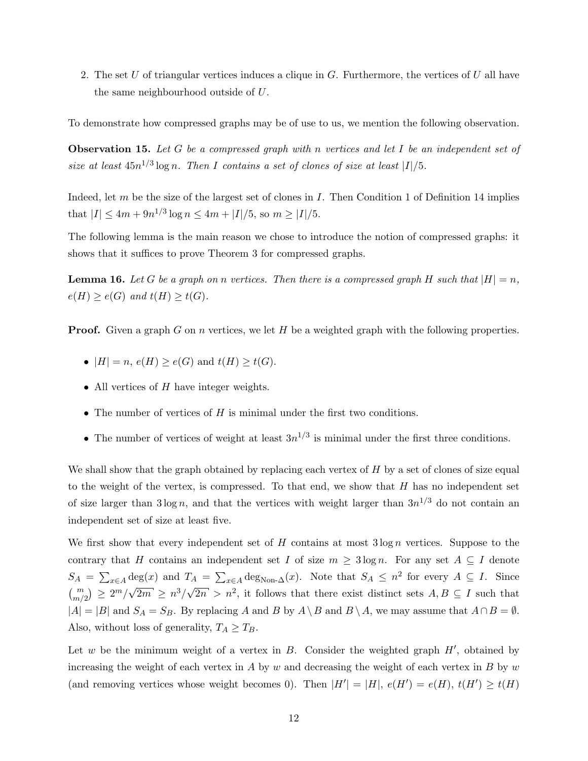<span id="page-11-1"></span>2. The set U of triangular vertices induces a clique in  $G$ . Furthermore, the vertices of U all have the same neighbourhood outside of U.

<span id="page-11-2"></span>To demonstrate how compressed graphs may be of use to us, we mention the following observation.

**Observation 15.** Let G be a compressed graph with n vertices and let I be an independent set of size at least  $45n^{1/3}\log n$ . Then I contains a set of clones of size at least |I|/5.

Indeed, let m be the size of the largest set of clones in I. Then Condition [1](#page-10-3) of Definition [14](#page-10-4) implies that  $|I| \leq 4m + 9n^{1/3} \log n \leq 4m + |I|/5$ , so  $m \geq |I|/5$ .

The following lemma is the main reason we chose to introduce the notion of compressed graphs: it shows that it suffices to prove Theorem [3](#page-3-0) for compressed graphs.

<span id="page-11-0"></span>**Lemma 16.** Let G be a graph on n vertices. Then there is a compressed graph H such that  $|H| = n$ ,  $e(H) \ge e(G)$  and  $t(H) \ge t(G)$ .

**Proof.** Given a graph G on n vertices, we let H be a weighted graph with the following properties.

- $|H| = n$ ,  $e(H) \ge e(G)$  and  $t(H) \ge t(G)$ .
- All vertices of  $H$  have integer weights.
- The number of vertices of  $H$  is minimal under the first two conditions.
- The number of vertices of weight at least  $3n^{1/3}$  is minimal under the first three conditions.

We shall show that the graph obtained by replacing each vertex of  $H$  by a set of clones of size equal to the weight of the vertex, is compressed. To that end, we show that  $H$  has no independent set of size larger than  $3\log n$ , and that the vertices with weight larger than  $3n^{1/3}$  do not contain an independent set of size at least five.

We first show that every independent set of H contains at most  $3 \log n$  vertices. Suppose to the contrary that H contains an independent set I of size  $m \geq 3 \log n$ . For any set  $A \subseteq I$  denote  $S_A = \sum_{x \in A} \deg(x)$  and  $T_A = \sum_{x \in A} \deg_{\text{Non-}\Delta}(x)$ . Note that  $S_A \leq n^2$  for every  $A \subseteq I$ . Since  $\binom{m}{m/2} \geq 2^m/\sqrt{2}$  $\frac{2m}{2m} \geq n^3/\sqrt{2n} > n^2$ , it follows that there exist distinct sets  $A, B \subseteq I$  such that  $|A| = |B|$  and  $S_A = S_B$ . By replacing A and B by  $A \setminus B$  and  $B \setminus A$ , we may assume that  $A \cap B = \emptyset$ . Also, without loss of generality,  $T_A \geq T_B$ .

Let w be the minimum weight of a vertex in  $B$ . Consider the weighted graph  $H'$ , obtained by increasing the weight of each vertex in  $A$  by  $w$  and decreasing the weight of each vertex in  $B$  by  $w$ (and removing vertices whose weight becomes 0). Then  $|H'| = |H|, e(H') = e(H), t(H') \ge t(H)$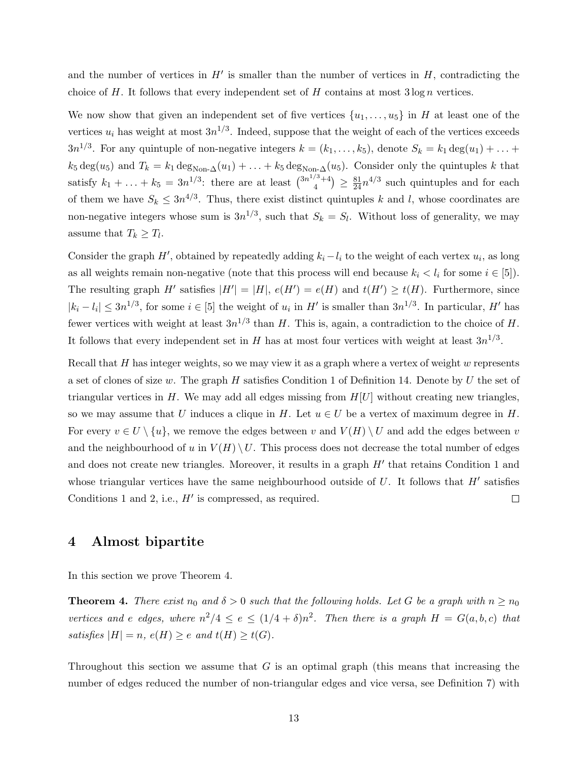and the number of vertices in  $H'$  is smaller than the number of vertices in  $H$ , contradicting the choice of  $H$ . It follows that every independent set of  $H$  contains at most  $3 \log n$  vertices.

We now show that given an independent set of five vertices  $\{u_1, \ldots, u_5\}$  in H at least one of the vertices  $u_i$  has weight at most  $3n^{1/3}$ . Indeed, suppose that the weight of each of the vertices exceeds  $3n^{1/3}$ . For any quintuple of non-negative integers  $k = (k_1, \ldots, k_5)$ , denote  $S_k = k_1 \deg(u_1) + \ldots +$  $k_5 \deg(u_5)$  and  $T_k = k_1 \deg_{\text{Non-}\Delta}(u_1) + \ldots + k_5 \deg_{\text{Non-}\Delta}(u_5)$ . Consider only the quintuples k that satisfy  $k_1 + ... + k_5 = 3n^{1/3}$ : there are at least  $\binom{3n^{1/3}+4}{4}$  $\binom{3+4}{4} \geq \frac{81}{24} n^{4/3}$  such quintuples and for each of them we have  $S_k \leq 3n^{4/3}$ . Thus, there exist distinct quintuples k and l, whose coordinates are non-negative integers whose sum is  $3n^{1/3}$ , such that  $S_k = S_l$ . Without loss of generality, we may assume that  $T_k \geq T_l$ .

Consider the graph  $H'$ , obtained by repeatedly adding  $k_i - l_i$  to the weight of each vertex  $u_i$ , as long as all weights remain non-negative (note that this process will end because  $k_i < l_i$  for some  $i \in [5]$ ). The resulting graph H' satisfies  $|H'| = |H|, e(H') = e(H)$  and  $t(H') \ge t(H)$ . Furthermore, since  $|k_i - l_i| \leq 3n^{1/3}$ , for some  $i \in [5]$  the weight of  $u_i$  in H' is smaller than  $3n^{1/3}$ . In particular, H' has fewer vertices with weight at least  $3n^{1/3}$  than H. This is, again, a contradiction to the choice of H. It follows that every independent set in H has at most four vertices with weight at least  $3n^{1/3}$ .

Recall that  $H$  has integer weights, so we may view it as a graph where a vertex of weight  $w$  represents a set of clones of size w. The graph H satisfies Condition [1](#page-10-3) of Definition [14.](#page-10-4) Denote by U the set of triangular vertices in H. We may add all edges missing from  $H[U]$  without creating new triangles, so we may assume that U induces a clique in H. Let  $u \in U$  be a vertex of maximum degree in H. For every  $v \in U \setminus \{u\}$ , we remove the edges between v and  $V(H) \setminus U$  and add the edges between v and the neighbourhood of u in  $V(H) \setminus U$ . This process does not decrease the total number of edges and does not create new triangles. Moreover, it results in a graph  $H'$  that retains Condition [1](#page-10-3) and whose triangular vertices have the same neighbourhood outside of  $U$ . It follows that  $H'$  satisfies Conditions [1](#page-10-3) and [2,](#page-11-1) i.e.,  $H'$  is compressed, as required.  $\Box$ 

### <span id="page-12-0"></span>4 Almost bipartite

In this section we prove Theorem [4.](#page-3-1)

**Theorem 4.** There exist  $n_0$  and  $\delta > 0$  such that the following holds. Let G be a graph with  $n \ge n_0$ vertices and e edges, where  $n^2/4 \le e \le (1/4+\delta)n^2$ . Then there is a graph  $H = G(a, b, c)$  that satisfies  $|H| = n$ ,  $e(H) \ge e$  and  $t(H) \ge t(G)$ .

Throughout this section we assume that  $G$  is an optimal graph (this means that increasing the number of edges reduced the number of non-triangular edges and vice versa, see Definition [7\)](#page-5-1) with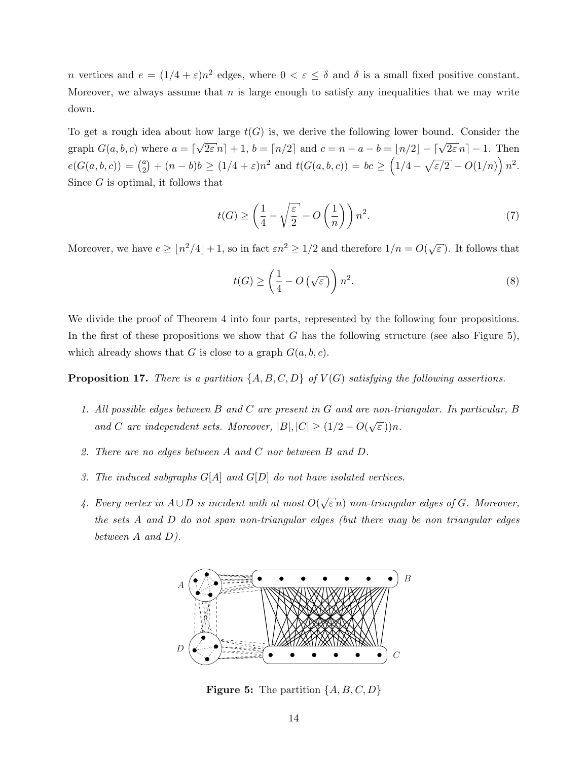*n* vertices and  $e = (1/4 + \varepsilon)n^2$  edges, where  $0 < \varepsilon \leq \delta$  and  $\delta$  is a small fixed positive constant. Moreover, we always assume that  $n$  is large enough to satisfy any inequalities that we may write down.

To get a rough idea about how large  $t(G)$  is, we derive the following lower bound. Consider the graph  $G(a, b, c)$  where  $a = \lceil$  $\sqrt{2\varepsilon} n$  + 1, b =  $\lceil n/2 \rceil$  and  $c = n - a - b = \lfloor n/2 \rfloor - \lceil \sqrt{2\varepsilon} n \rceil - 1$ . Then  $e(G(a, b, c)) = {a \choose 2}$  $\binom{a}{2} + (n-b)b \ge (1/4 + \varepsilon)n^2$  and  $t(G(a, b, c)) = bc \ge (1/4 - \sqrt{\varepsilon/2} - O(1/n)) n^2$ . Since G is optimal, it follows that

$$
t(G) \ge \left(\frac{1}{4} - \sqrt{\frac{\varepsilon}{2}} - O\left(\frac{1}{n}\right)\right) n^2. \tag{7}
$$

Moreover, we have  $e \geq \lfloor n^2/4 \rfloor + 1$ , so in fact  $\varepsilon n^2 \geq 1/2$  and therefore  $1/n = O(\sqrt{\varepsilon n})$  $\epsilon$ ). It follows that

<span id="page-13-3"></span><span id="page-13-2"></span>
$$
t(G) \ge \left(\frac{1}{4} - O\left(\sqrt{\varepsilon}\right)\right) n^2. \tag{8}
$$

We divide the proof of Theorem [4](#page-3-1) into four parts, represented by the following four propositions. In the first of these propositions we show that  $G$  has the following structure (see also Figure [5\)](#page-13-0), which already shows that G is close to a graph  $G(a, b, c)$ .

<span id="page-13-1"></span>**Proposition 17.** There is a partition  $\{A, B, C, D\}$  of  $V(G)$  satisfying the following assertions.

- 1. All possible edges between B and C are present in G and are non-triangular. In particular, B and C are independent sets. Moreover,  $|B|, |C| \geq (1/2 - O(\sqrt{\varepsilon}))n$ .
- 2. There are no edges between A and C nor between B and D.
- 3. The induced subgraphs  $G[A]$  and  $G[D]$  do not have isolated vertices.
- <span id="page-13-0"></span>4. Every vertex in  $A ∪ D$  is incident with at most  $O(\sqrt{\varepsilon} n)$  non-triangular edges of  $G$ . Moreover, the sets A and D do not span non-triangular edges (but there may be non triangular edges between A and D).



**Figure 5:** The partition  $\{A, B, C, D\}$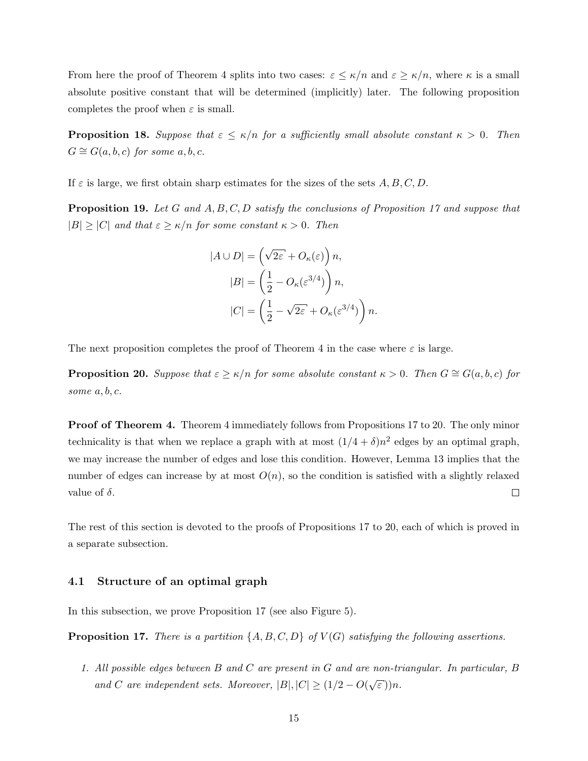From here the proof of Theorem [4](#page-3-1) splits into two cases:  $\varepsilon \leq \kappa/n$  and  $\varepsilon \geq \kappa/n$ , where  $\kappa$  is a small absolute positive constant that will be determined (implicitly) later. The following proposition completes the proof when  $\varepsilon$  is small.

<span id="page-14-1"></span>**Proposition 18.** Suppose that  $\varepsilon \leq \kappa/n$  for a sufficiently small absolute constant  $\kappa > 0$ . Then  $G \cong G(a, b, c)$  for some  $a, b, c$ .

<span id="page-14-2"></span>If  $\varepsilon$  is large, we first obtain sharp estimates for the sizes of the sets  $A, B, C, D$ .

**Proposition 19.** Let G and  $A, B, C, D$  satisfy the conclusions of Proposition [17](#page-13-1) and suppose that  $|B| \geq |C|$  and that  $\varepsilon \geq \kappa/n$  for some constant  $\kappa > 0$ . Then

$$
|A \cup D| = \left(\sqrt{2\varepsilon} + O_{\kappa}(\varepsilon)\right) n,
$$
  
\n
$$
|B| = \left(\frac{1}{2} - O_{\kappa}(\varepsilon^{3/4})\right) n,
$$
  
\n
$$
|C| = \left(\frac{1}{2} - \sqrt{2\varepsilon} + O_{\kappa}(\varepsilon^{3/4})\right) n.
$$

<span id="page-14-0"></span>The next proposition completes the proof of Theorem [4](#page-3-1) in the case where  $\varepsilon$  is large.

**Proposition 20.** Suppose that  $\varepsilon \ge \kappa/n$  for some absolute constant  $\kappa > 0$ . Then  $G \cong G(a, b, c)$  for some  $a, b, c$ .

Proof of Theorem [4.](#page-3-1) Theorem [4](#page-3-1) immediately follows from Propositions [17](#page-13-1) to [20.](#page-14-0) The only minor technicality is that when we replace a graph with at most  $(1/4 + \delta)n^2$  edges by an optimal graph, we may increase the number of edges and lose this condition. However, Lemma [13](#page-9-0) implies that the number of edges can increase by at most  $O(n)$ , so the condition is satisfied with a slightly relaxed value of  $\delta$ .  $\Box$ 

The rest of this section is devoted to the proofs of Propositions [17](#page-13-1) to [20,](#page-14-0) each of which is proved in a separate subsection.

### 4.1 Structure of an optimal graph

In this subsection, we prove Proposition [17](#page-13-1) (see also Figure [5\)](#page-13-0).

**Proposition 17.** There is a partition  $\{A, B, C, D\}$  of  $V(G)$  satisfying the following assertions.

1. All possible edges between B and C are present in G and are non-triangular. In particular, B and C are independent sets. Moreover,  $|B|, |C| \geq (1/2 - O(\sqrt{\varepsilon}))n$ .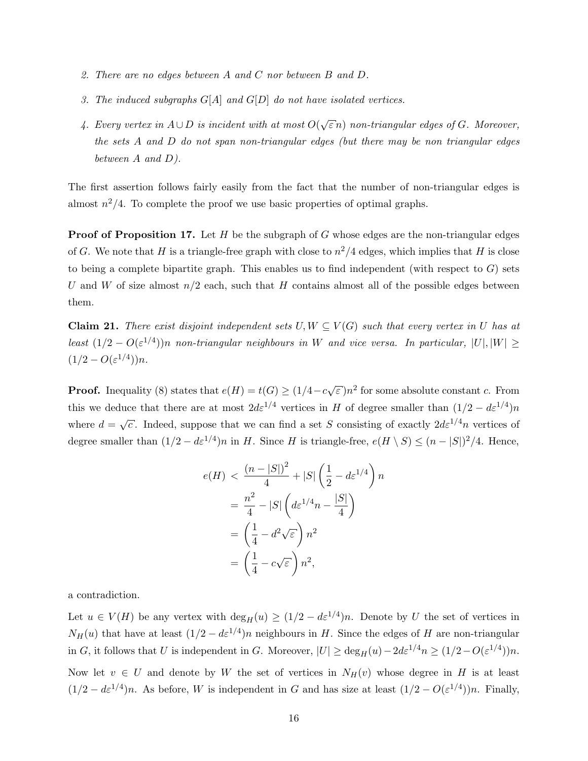- 2. There are no edges between A and C nor between B and D.
- 3. The induced subgraphs  $G[A]$  and  $G[D]$  do not have isolated vertices.
- 4. Every vertex in  $A ∪ D$  is incident with at most  $O(\sqrt{\varepsilon} n)$  non-triangular edges of  $G$ . Moreover, the sets A and D do not span non-triangular edges (but there may be non triangular edges between A and D).

The first assertion follows fairly easily from the fact that the number of non-triangular edges is almost  $n^2/4$ . To complete the proof we use basic properties of optimal graphs.

**Proof of Proposition [17.](#page-13-1)** Let  $H$  be the subgraph of  $G$  whose edges are the non-triangular edges of G. We note that H is a triangle-free graph with close to  $n^2/4$  edges, which implies that H is close to being a complete bipartite graph. This enables us to find independent (with respect to  $G$ ) sets U and W of size almost  $n/2$  each, such that H contains almost all of the possible edges between them.

<span id="page-15-0"></span>**Claim 21.** There exist disjoint independent sets  $U, W \subseteq V(G)$  such that every vertex in U has at least  $(1/2 - O(\varepsilon^{1/4}))n$  non-triangular neighbours in W and vice versa. In particular,  $|U|, |W| \ge$  $(1/2 - O(\varepsilon^{1/4}))n.$ 

**Proof.** Inequality [\(8\)](#page-13-2) states that  $e(H) = t(G) \geq (1/4 - c\sqrt{3})$  $\epsilon$ ) $n^2$  for some absolute constant c. From this we deduce that there are at most  $2d\varepsilon^{1/4}$  vertices in H of degree smaller than  $(1/2 - d\varepsilon^{1/4})n$ where  $d =$  $\sqrt{c}$ . Indeed, suppose that we can find a set S consisting of exactly  $2d\varepsilon^{1/4}n$  vertices of degree smaller than  $(1/2 - d\varepsilon^{1/4})n$  in H. Since H is triangle-free,  $e(H \setminus S) \leq (n - |S|)^2/4$ . Hence,

$$
e(H) < \frac{(n-|S|)^2}{4} + |S| \left(\frac{1}{2} - d\varepsilon^{1/4}\right) n
$$
\n
$$
= \frac{n^2}{4} - |S| \left(d\varepsilon^{1/4}n - \frac{|S|}{4}\right)
$$
\n
$$
= \left(\frac{1}{4} - d^2\sqrt{\varepsilon}\right)n^2
$$
\n
$$
= \left(\frac{1}{4} - c\sqrt{\varepsilon}\right)n^2,
$$

a contradiction.

Let  $u \in V(H)$  be any vertex with  $\deg_H(u) \geq (1/2 - d\varepsilon^{1/4})n$ . Denote by U the set of vertices in  $N_H(u)$  that have at least  $(1/2 - d\varepsilon^{1/4})n$  neighbours in H. Since the edges of H are non-triangular in G, it follows that U is independent in G. Moreover,  $|U| \ge \deg_H(u) - 2d\varepsilon^{1/4} n \ge (1/2 - O(\varepsilon^{1/4}))n$ . Now let  $v \in U$  and denote by W the set of vertices in  $N_H(v)$  whose degree in H is at least  $(1/2 - d\varepsilon^{1/4})n$ . As before, W is independent in G and has size at least  $(1/2 - O(\varepsilon^{1/4}))n$ . Finally,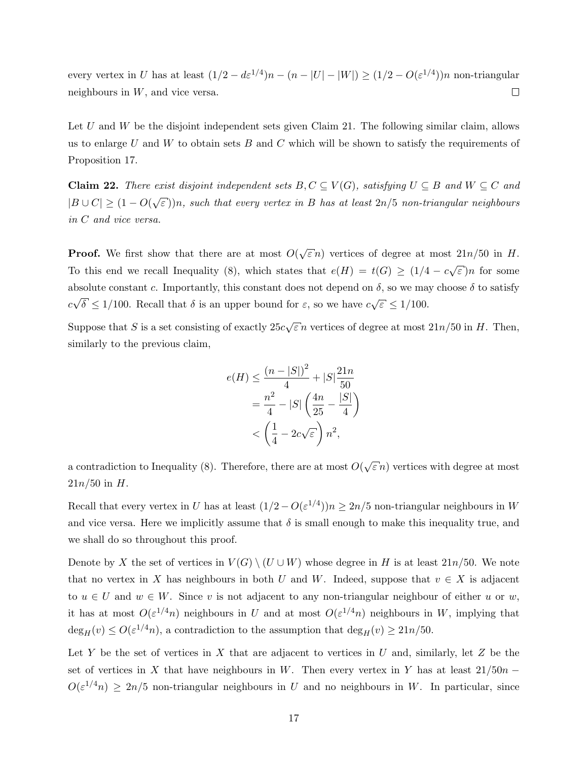every vertex in U has at least  $(1/2 - d\varepsilon^{1/4})n - (n - |U| - |W|) \ge (1/2 - O(\varepsilon^{1/4}))n$  non-triangular neighbours in  $W$ , and vice versa.  $\Box$ 

Let  $U$  and  $W$  be the disjoint independent sets given Claim [21.](#page-15-0) The following similar claim, allows us to enlarge U and W to obtain sets B and C which will be shown to satisfy the requirements of Proposition [17.](#page-13-1)

<span id="page-16-0"></span>**Claim 22.** There exist disjoint independent sets  $B, C \subseteq V(G)$ , satisfying  $U \subseteq B$  and  $W \subseteq C$  and  $|B \cup C| \geq (1 - O(\sqrt{\varepsilon}))n$ , such that every vertex in B has at least  $2n/5$  non-triangular neighbours in C and vice versa.

**Proof.** We first show that there are at most  $O(\sqrt{\frac{2}{\epsilon}}))$  $\bar{\varepsilon} n$ ) vertices of degree at most  $21n/50$  in H. To this end we recall Inequality [\(8\)](#page-13-2), which states that  $e(H) = t(G) \geq (1/4 - c\sqrt{1/2})$  $\epsilon$ )n for some absolute constant c. Importantly, this constant does not depend on  $\delta$ , so we may choose  $\delta$  to satisfy c √  $\delta \leq 1/100$ . Recall that  $\delta$  is an upper bound for  $\varepsilon$ , so we have  $c\sqrt{\varepsilon} \leq 1/100$ .

Suppose that S is a set consisting of exactly  $25c$ √  $\bar{\varepsilon} n$  vertices of degree at most  $21n/50$  in H. Then, similarly to the previous claim,

$$
e(H) \le \frac{(n-|S|)^2}{4} + |S|\frac{21n}{50}
$$
  
= 
$$
\frac{n^2}{4} - |S|\left(\frac{4n}{25} - \frac{|S|}{4}\right)
$$
  
< 
$$
\left(\frac{1}{4} - 2c\sqrt{\varepsilon}\right)n^2,
$$

a contradiction to Inequality  $(8)$ . Therefore, there are at most  $O($ √  $\epsilon n$ ) vertices with degree at most  $21n/50$  in  $H$ .

Recall that every vertex in U has at least  $(1/2 - O(\varepsilon^{1/4}))n \ge 2n/5$  non-triangular neighbours in W and vice versa. Here we implicitly assume that  $\delta$  is small enough to make this inequality true, and we shall do so throughout this proof.

Denote by X the set of vertices in  $V(G) \setminus (U \cup W)$  whose degree in H is at least 21n/50. We note that no vertex in X has neighbours in both U and W. Indeed, suppose that  $v \in X$  is adjacent to  $u \in U$  and  $w \in W$ . Since v is not adjacent to any non-triangular neighbour of either u or w, it has at most  $O(\varepsilon^{1/4}n)$  neighbours in U and at most  $O(\varepsilon^{1/4}n)$  neighbours in W, implying that  $deg_H(v) \leq O(\varepsilon^{1/4}n)$ , a contradiction to the assumption that  $deg_H(v) \geq 21n/50$ .

Let Y be the set of vertices in X that are adjacent to vertices in U and, similarly, let Z be the set of vertices in X that have neighbours in W. Then every vertex in Y has at least  $21/50n O(\varepsilon^{1/4}n) \geq 2n/5$  non-triangular neighbours in U and no neighbours in W. In particular, since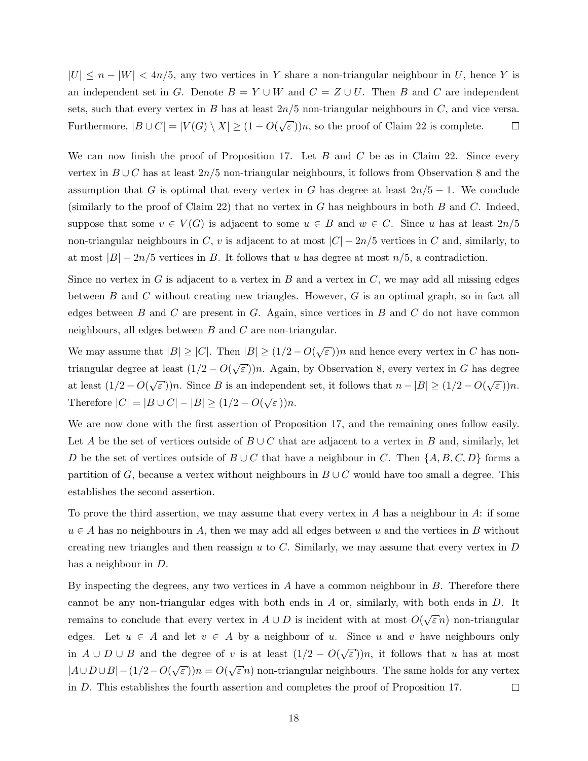$|U| \leq n - |W| < 4n/5$ , any two vertices in Y share a non-triangular neighbour in U, hence Y is an independent set in G. Denote  $B = Y \cup W$  and  $C = Z \cup U$ . Then B and C are independent sets, such that every vertex in B has at least  $2n/5$  non-triangular neighbours in C, and vice versa. Furthermore,  $|B \cup C| = |V(G) \setminus X| \geq (1 - O(\sqrt{\log n}))$  $\epsilon$ ))n, so the proof of Claim [22](#page-16-0) is complete.  $\Box$ 

We can now finish the proof of Proposition [17.](#page-13-1) Let  $B$  and  $C$  be as in Claim [22.](#page-16-0) Since every vertex in  $B\cup C$  has at least 2n/5 non-triangular neighbours, it follows from Observation [8](#page-5-2) and the assumption that G is optimal that every vertex in G has degree at least  $2n/5 - 1$ . We conclude (similarly to the proof of Claim [22\)](#page-16-0) that no vertex in G has neighbours in both B and C. Indeed, suppose that some  $v \in V(G)$  is adjacent to some  $u \in B$  and  $w \in C$ . Since u has at least  $2n/5$ non-triangular neighbours in C, v is adjacent to at most  $|C| - 2n/5$  vertices in C and, similarly, to at most  $|B| - 2n/5$  vertices in B. It follows that u has degree at most  $n/5$ , a contradiction.

Since no vertex in  $G$  is adjacent to a vertex in  $B$  and a vertex in  $C$ , we may add all missing edges between  $B$  and  $C$  without creating new triangles. However,  $G$  is an optimal graph, so in fact all edges between  $B$  and  $C$  are present in  $G$ . Again, since vertices in  $B$  and  $C$  do not have common neighbours, all edges between  $B$  and  $C$  are non-triangular.

We may assume that  $|B| \ge |C|$ . Then  $|B| \ge (1/2 - O(\sqrt{\epsilon}))$  $\epsilon$ ))n and hence every vertex in C has nontriangular degree at least  $(1/2 - O(\sqrt{\frac{1}{\sqrt{1-\frac{1}{c}}}}))$  $(\epsilon)$ )n. Again, by Observation [8,](#page-5-2) every vertex in G has degree at least  $(1/2 - O(\sqrt{\varepsilon}))n$ . Since B is an independent set, it follows that  $n - |B| \ge (1/2 - O(\sqrt{\varepsilon}))n$ .  $\epsilon$ )) $n$ . Therefore  $|C| = |B \cup C| - |B| \ge (1/2 - O(\sqrt{\varepsilon}))n$ . √

We are now done with the first assertion of Proposition [17,](#page-13-1) and the remaining ones follow easily. Let A be the set of vertices outside of  $B \cup C$  that are adjacent to a vertex in B and, similarly, let D be the set of vertices outside of  $B\cup C$  that have a neighbour in C. Then  $\{A, B, C, D\}$  forms a partition of G, because a vertex without neighbours in  $B\cup C$  would have too small a degree. This establishes the second assertion.

To prove the third assertion, we may assume that every vertex in A has a neighbour in A: if some  $u \in A$  has no neighbours in A, then we may add all edges between u and the vertices in B without creating new triangles and then reassign  $u$  to  $C$ . Similarly, we may assume that every vertex in  $D$ has a neighbour in D.

By inspecting the degrees, any two vertices in  $A$  have a common neighbour in  $B$ . Therefore there cannot be any non-triangular edges with both ends in  $A$  or, similarly, with both ends in  $D$ . It remains to conclude that every vertex in  $A \cup D$  is incident with at most  $O(\sqrt{\frac{2}{\lambda}})$  $\bar{\varepsilon}$ n) non-triangular edges. Let  $u \in A$  and let  $v \in A$  by a neighbour of u. Since u and v have neighbours only in  $A \cup D \cup B$  and the degree of v is at least  $(1/2 - O(\sqrt{\frac{1}{2}}))$  $\varepsilon$ ))n, it follows that u has at most  $|A \cup D \cup B|$  – (1/2 – O( $\sqrt$ √  $\varepsilon$ )) $n = O($  $\bar{\varepsilon}$  n) non-triangular neighbours. The same holds for any vertex in D. This establishes the fourth assertion and completes the proof of Proposition [17.](#page-13-1)  $\Box$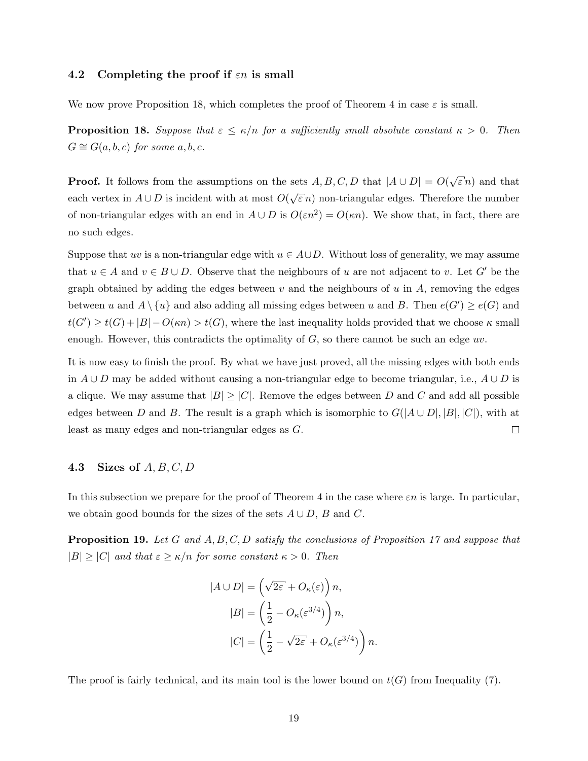#### 4.2 Completing the proof if  $\varepsilon n$  is small

We now prove Proposition [18,](#page-14-1) which completes the proof of Theorem [4](#page-3-1) in case  $\varepsilon$  is small.

**Proposition 18.** Suppose that  $\varepsilon \leq \kappa/n$  for a sufficiently small absolute constant  $\kappa > 0$ . Then  $G \cong G(a, b, c)$  for some  $a, b, c$ .

**Proof.** It follows from the assumptions on the sets  $A, B, C, D$  that  $|A \cup D| = O(\sqrt{\frac{2}{\pi}})$  $\widehat{\varepsilon}$  n) and that each vertex in  $A \cup D$  is incident with at most  $O(\sqrt{\frac{A}{\epsilon}})$  $\bar{\varepsilon}$  n) non-triangular edges. Therefore the number of non-triangular edges with an end in  $A \cup D$  is  $O(\varepsilon n^2) = O(\kappa n)$ . We show that, in fact, there are no such edges.

Suppose that uv is a non-triangular edge with  $u \in A \cup D$ . Without loss of generality, we may assume that  $u \in A$  and  $v \in B \cup D$ . Observe that the neighbours of u are not adjacent to v. Let G' be the graph obtained by adding the edges between v and the neighbours of  $u$  in  $A$ , removing the edges between u and  $A \setminus \{u\}$  and also adding all missing edges between u and B. Then  $e(G') \ge e(G)$  and  $t(G') \ge t(G) + |B| - O(\kappa n) > t(G)$ , where the last inequality holds provided that we choose  $\kappa$  small enough. However, this contradicts the optimality of  $G$ , so there cannot be such an edge uv.

It is now easy to finish the proof. By what we have just proved, all the missing edges with both ends in  $A \cup D$  may be added without causing a non-triangular edge to become triangular, i.e.,  $A \cup D$  is a clique. We may assume that  $|B| \geq |C|$ . Remove the edges between D and C and add all possible edges between D and B. The result is a graph which is isomorphic to  $G(|A \cup D|, |B|, |C|)$ , with at least as many edges and non-triangular edges as G.  $\Box$ 

### 4.3 Sizes of  $A, B, C, D$

In this subsection we prepare for the proof of Theorem [4](#page-3-1) in the case where  $\varepsilon n$  is large. In particular, we obtain good bounds for the sizes of the sets  $A \cup D$ , B and C.

**Proposition 19.** Let G and  $A, B, C, D$  satisfy the conclusions of Proposition [17](#page-13-1) and suppose that  $|B| \geq |C|$  and that  $\varepsilon \geq \kappa/n$  for some constant  $\kappa > 0$ . Then

$$
|A \cup D| = \left(\sqrt{2\varepsilon} + O_{\kappa}(\varepsilon)\right) n,
$$
  
\n
$$
|B| = \left(\frac{1}{2} - O_{\kappa}(\varepsilon^{3/4})\right) n,
$$
  
\n
$$
|C| = \left(\frac{1}{2} - \sqrt{2\varepsilon} + O_{\kappa}(\varepsilon^{3/4})\right) n.
$$

The proof is fairly technical, and its main tool is the lower bound on  $t(G)$  from Inequality [\(7\)](#page-13-3).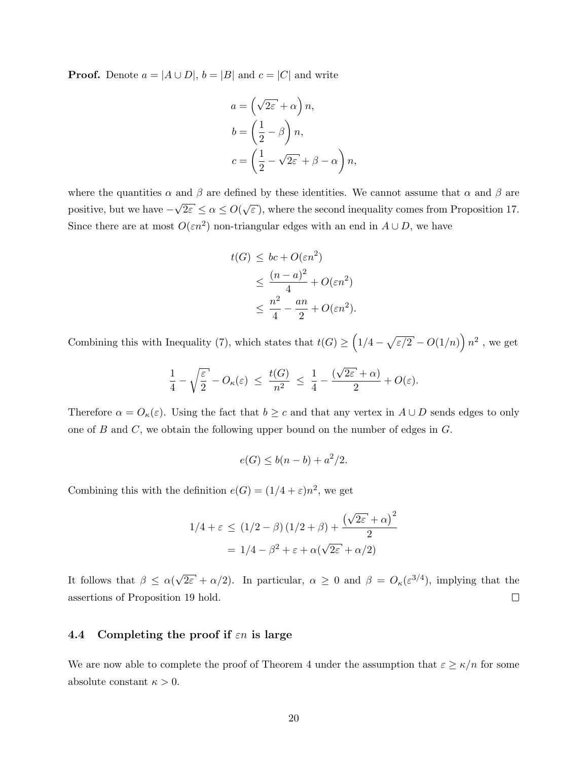**Proof.** Denote  $a = |A \cup D|$ ,  $b = |B|$  and  $c = |C|$  and write

$$
a = \left(\sqrt{2\varepsilon} + \alpha\right)n,
$$
  
\n
$$
b = \left(\frac{1}{2} - \beta\right)n,
$$
  
\n
$$
c = \left(\frac{1}{2} - \sqrt{2\varepsilon} + \beta - \alpha\right)n,
$$

where the quantities  $\alpha$  and  $\beta$  are defined by these identities. We cannot assume that  $\alpha$  and  $\beta$  are positive, but we have − √  $\overline{2\varepsilon} \leq \alpha \leq O(\sqrt{2})$  $\epsilon$ ), where the second inequality comes from Proposition [17.](#page-13-1) Since there are at most  $O(\varepsilon n^2)$  non-triangular edges with an end in  $A \cup D$ , we have

$$
t(G) \le bc + O(\varepsilon n^2)
$$
  
\n
$$
\le \frac{(n-a)^2}{4} + O(\varepsilon n^2)
$$
  
\n
$$
\le \frac{n^2}{4} - \frac{an}{2} + O(\varepsilon n^2).
$$

Combining this with Inequality [\(7\)](#page-13-3), which states that  $t(G) \geq (1/4 - \sqrt{\varepsilon/2} - O(1/n)) n^2$ , we get

$$
\frac{1}{4} - \sqrt{\frac{\varepsilon}{2}} - O_{\kappa}(\varepsilon) \ \leq \ \frac{t(G)}{n^2} \ \leq \ \frac{1}{4} - \frac{(\sqrt{2\varepsilon} + \alpha)}{2} + O(\varepsilon).
$$

Therefore  $\alpha = O_{\kappa}(\varepsilon)$ . Using the fact that  $b \geq c$  and that any vertex in  $A \cup D$  sends edges to only one of  $B$  and  $C$ , we obtain the following upper bound on the number of edges in  $G$ .

$$
e(G) \le b(n-b) + a^2/2.
$$

Combining this with the definition  $e(G) = (1/4 + \varepsilon)n^2$ , we get

$$
1/4 + \varepsilon \le (1/2 - \beta) (1/2 + \beta) + \frac{(\sqrt{2\varepsilon} + \alpha)^2}{2}
$$

$$
= 1/4 - \beta^2 + \varepsilon + \alpha(\sqrt{2\varepsilon} + \alpha/2)
$$

√  $\overline{2\varepsilon} + \alpha/2$ ). In particular,  $\alpha \geq 0$  and  $\beta = O_{\kappa}(\varepsilon^{3/4})$ , implying that the It follows that  $\beta \leq \alpha$ ( assertions of Proposition [19](#page-14-2) hold.  $\Box$ 

### 4.4 Completing the proof if  $\varepsilon n$  is large

We are now able to complete the proof of Theorem [4](#page-3-1) under the assumption that  $\varepsilon \ge \kappa/n$  for some absolute constant  $\kappa > 0$ .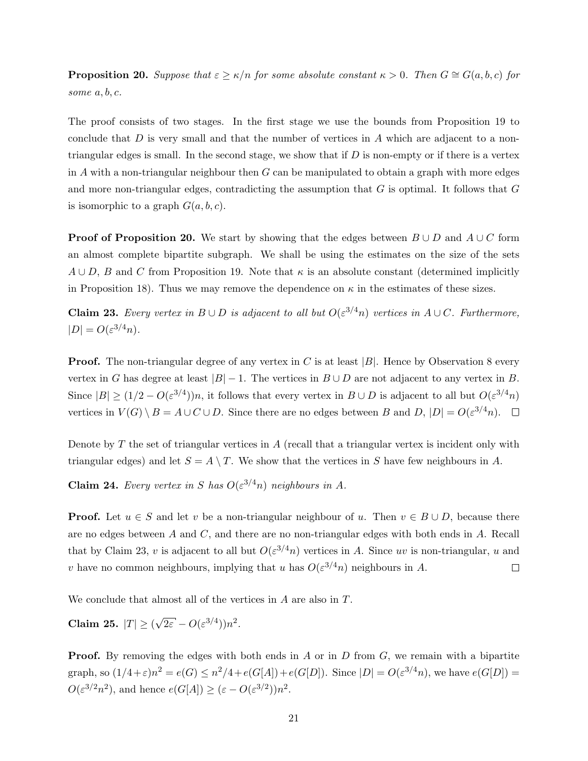**Proposition 20.** Suppose that  $\varepsilon \ge \kappa/n$  for some absolute constant  $\kappa > 0$ . Then  $G \cong G(a, b, c)$  for some  $a, b, c$ .

The proof consists of two stages. In the first stage we use the bounds from Proposition [19](#page-14-2) to conclude that  $D$  is very small and that the number of vertices in  $A$  which are adjacent to a nontriangular edges is small. In the second stage, we show that if  $D$  is non-empty or if there is a vertex in A with a non-triangular neighbour then  $G$  can be manipulated to obtain a graph with more edges and more non-triangular edges, contradicting the assumption that  $G$  is optimal. It follows that  $G$ is isomorphic to a graph  $G(a, b, c)$ .

**Proof of Proposition [20.](#page-14-0)** We start by showing that the edges between  $B \cup D$  and  $A \cup C$  form an almost complete bipartite subgraph. We shall be using the estimates on the size of the sets  $A \cup D$ , B and C from Proposition [19.](#page-14-2) Note that  $\kappa$  is an absolute constant (determined implicitly in Proposition [18\)](#page-14-1). Thus we may remove the dependence on  $\kappa$  in the estimates of these sizes.

<span id="page-20-0"></span>**Claim 23.** Every vertex in  $B \cup D$  is adjacent to all but  $O(\varepsilon^{3/4}n)$  vertices in  $A \cup C$ . Furthermore,  $|D| = O(\varepsilon^{3/4}n).$ 

**Proof.** The non-triangular degree of any vertex in C is at least  $|B|$ . Hence by Observation [8](#page-5-2) every vertex in G has degree at least  $|B| - 1$ . The vertices in  $B \cup D$  are not adjacent to any vertex in B. Since  $|B| \ge (1/2 - O(\varepsilon^{3/4}))n$ , it follows that every vertex in  $B \cup D$  is adjacent to all but  $O(\varepsilon^{3/4}n)$ vertices in  $V(G) \setminus B = A \cup C \cup D$ . Since there are no edges between B and D,  $|D| = O(\varepsilon^{3/4} n)$ .

Denote by  $T$  the set of triangular vertices in  $A$  (recall that a triangular vertex is incident only with triangular edges) and let  $S = A \setminus T$ . We show that the vertices in S have few neighbours in A.

<span id="page-20-1"></span>**Claim 24.** Every vertex in S has  $O(\varepsilon^{3/4}n)$  neighbours in A.

**Proof.** Let  $u \in S$  and let v be a non-triangular neighbour of u. Then  $v \in B \cup D$ , because there are no edges between A and C, and there are no non-triangular edges with both ends in A. Recall that by Claim [23,](#page-20-0) v is adjacent to all but  $O(\varepsilon^{3/4}n)$  vertices in A. Since uv is non-triangular, u and v have no common neighbours, implying that u has  $O(\varepsilon^{3/4}n)$  neighbours in A.  $\Box$ 

<span id="page-20-2"></span>We conclude that almost all of the vertices in A are also in T.

Claim 25.  $|T| \geq 0$ √  $\overline{2\varepsilon} - O(\varepsilon^{3/4}))n^2$ .

**Proof.** By removing the edges with both ends in A or in D from  $G$ , we remain with a bipartite graph, so  $(1/4+\varepsilon)n^2 = e(G) \leq n^2/4 + e(G[A]) + e(G[D])$ . Since  $|D| = O(\varepsilon^{3/4}n)$ , we have  $e(G[D]) =$  $O(\varepsilon^{3/2}n^2)$ , and hence  $e(G[A]) \geq (\varepsilon - O(\varepsilon^{3/2}))n^2$ .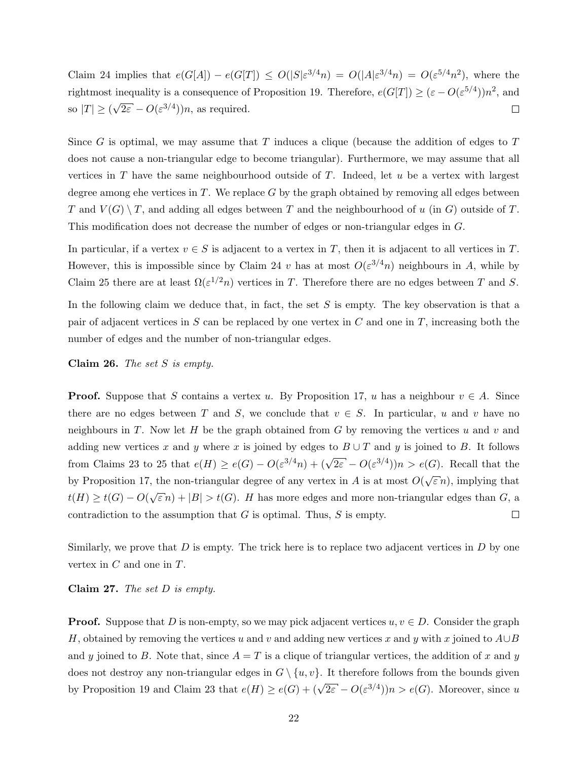Claim [24](#page-20-1) implies that  $e(G[A]) - e(G[T]) \le O(|S|\varepsilon^{3/4}n) = O(|A|\varepsilon^{3/4}n) = O(\varepsilon^{5/4}n^2)$ , where the rightmost inequality is a consequence of Proposition [19.](#page-14-2) Therefore,  $e(G[T]) \geq (\varepsilon - O(\varepsilon^{5/4}))n^2$ , and √  $\overline{2\varepsilon} - O(\varepsilon^{3/4})$ )n, as required. so  $|T| \geq 0$  $\Box$ 

Since G is optimal, we may assume that  $T$  induces a clique (because the addition of edges to  $T$ does not cause a non-triangular edge to become triangular). Furthermore, we may assume that all vertices in  $T$  have the same neighbourhood outside of  $T$ . Indeed, let  $u$  be a vertex with largest degree among ehe vertices in  $T$ . We replace  $G$  by the graph obtained by removing all edges between T and  $V(G) \setminus T$ , and adding all edges between T and the neighbourhood of u (in G) outside of T. This modification does not decrease the number of edges or non-triangular edges in G.

In particular, if a vertex  $v \in S$  is adjacent to a vertex in T, then it is adjacent to all vertices in T. However, this is impossible since by Claim [24](#page-20-1) v has at most  $O(\varepsilon^{3/4}n)$  neighbours in A, while by Claim [25](#page-20-2) there are at least  $\Omega(\varepsilon^{1/2}n)$  vertices in T. Therefore there are no edges between T and S.

In the following claim we deduce that, in fact, the set  $S$  is empty. The key observation is that a pair of adjacent vertices in S can be replaced by one vertex in  $C$  and one in  $T$ , increasing both the number of edges and the number of non-triangular edges.

<span id="page-21-0"></span>Claim 26. The set  $S$  is empty.

**Proof.** Suppose that S contains a vertex u. By Proposition [17,](#page-13-1) u has a neighbour  $v \in A$ . Since there are no edges between T and S, we conclude that  $v \in S$ . In particular, u and v have no neighbours in T. Now let H be the graph obtained from G by removing the vertices u and v and adding new vertices x and y where x is joined by edges to  $B \cup T$  and y is joined to B. It follows from Claims [23](#page-20-0) to [25](#page-20-2) that  $e(H) \ge e(G) - O(\varepsilon^{3/4}n) + (\sqrt{2\varepsilon} - O(\varepsilon^{3/4}))n > e(G)$ . Recall that the √ by Proposition [17,](#page-13-1) the non-triangular degree of any vertex in  $A$  is at most  $O($  $\in$ *n*), implying that  $t(H) \ge t(G) - O(\sqrt{\varepsilon} n) + |B| > t(G)$ . H has more edges and more non-triangular edges than G, a contradiction to the assumption that  $G$  is optimal. Thus,  $S$  is empty. □

Similarly, we prove that  $D$  is empty. The trick here is to replace two adjacent vertices in  $D$  by one vertex in  $C$  and one in  $T$ .

Claim 27. The set  $D$  is empty.

**Proof.** Suppose that D is non-empty, so we may pick adjacent vertices  $u, v \in D$ . Consider the graph H, obtained by removing the vertices u and v and adding new vertices x and y with x joined to  $A\cup B$ and y joined to B. Note that, since  $A = T$  is a clique of triangular vertices, the addition of x and y does not destroy any non-triangular edges in  $G \setminus \{u, v\}$ . It therefore follows from the bounds given by Proposition [19](#page-14-2) and Claim [23](#page-20-0) that  $e(H) \ge e(G) + (\sqrt{2\varepsilon} - O(\varepsilon^{3/4}))n > e(G)$ . Moreover, since u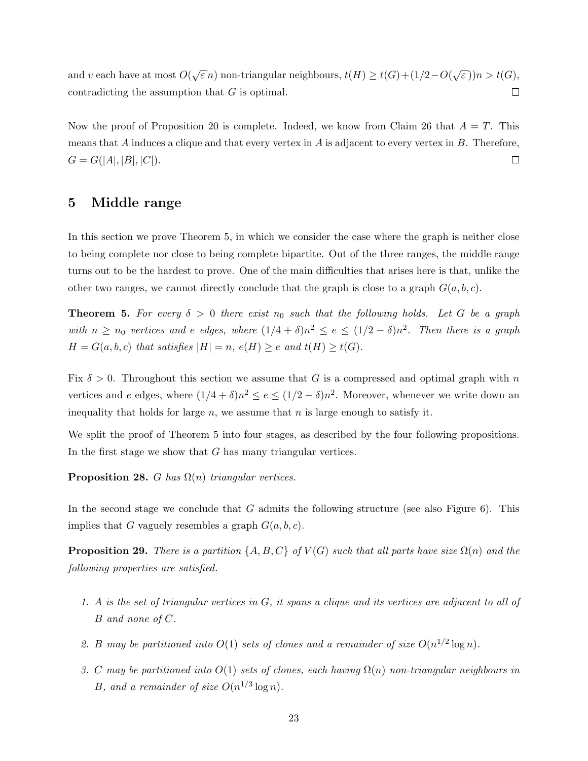$\sqrt{\varepsilon} n$ ) non-triangular neighbours,  $t(H) \ge t(G) + (1/2 - O(\sqrt{\varepsilon}))$ and  $v$  each have at most  $O($  $\epsilon(n)$ ) $n > t(G)$ , contradicting the assumption that G is optimal.  $\Box$ 

Now the proof of Proposition [20](#page-14-0) is complete. Indeed, we know from Claim [26](#page-21-0) that  $A = T$ . This means that  $A$  induces a clique and that every vertex in  $A$  is adjacent to every vertex in  $B$ . Therefore,  $\Box$  $G = G(|A|, |B|, |C|).$ 

### <span id="page-22-0"></span>5 Middle range

In this section we prove Theorem [5,](#page-3-3) in which we consider the case where the graph is neither close to being complete nor close to being complete bipartite. Out of the three ranges, the middle range turns out to be the hardest to prove. One of the main difficulties that arises here is that, unlike the other two ranges, we cannot directly conclude that the graph is close to a graph  $G(a, b, c)$ .

**Theorem 5.** For every  $\delta > 0$  there exist  $n_0$  such that the following holds. Let G be a graph with  $n \ge n_0$  vertices and e edges, where  $(1/4 + \delta)n^2 \le e \le (1/2 - \delta)n^2$ . Then there is a graph  $H = G(a, b, c)$  that satisfies  $|H| = n$ ,  $e(H) \ge e$  and  $t(H) \ge t(G)$ .

Fix  $\delta > 0$ . Throughout this section we assume that G is a compressed and optimal graph with n vertices and e edges, where  $(1/4 + \delta)n^2 \le e \le (1/2 - \delta)n^2$ . Moreover, whenever we write down an inequality that holds for large  $n$ , we assume that  $n$  is large enough to satisfy it.

We split the proof of Theorem [5](#page-3-3) into four stages, as described by the four following propositions. In the first stage we show that G has many triangular vertices.

<span id="page-22-2"></span>**Proposition 28.** G has  $\Omega(n)$  triangular vertices.

In the second stage we conclude that  $G$  admits the following structure (see also Figure [6\)](#page-23-0). This implies that G vaguely resembles a graph  $G(a, b, c)$ .

<span id="page-22-1"></span>**Proposition 29.** There is a partition  $\{A, B, C\}$  of  $V(G)$  such that all parts have size  $\Omega(n)$  and the following properties are satisfied.

- <span id="page-22-3"></span>1. A is the set of triangular vertices in G, it spans a clique and its vertices are adjacent to all of B and none of C.
- <span id="page-22-5"></span>2. B may be partitioned into  $O(1)$  sets of clones and a remainder of size  $O(n^{1/2} \log n)$ .
- <span id="page-22-4"></span>3. C may be partitioned into  $O(1)$  sets of clones, each having  $\Omega(n)$  non-triangular neighbours in B, and a remainder of size  $O(n^{1/3}\log n)$ .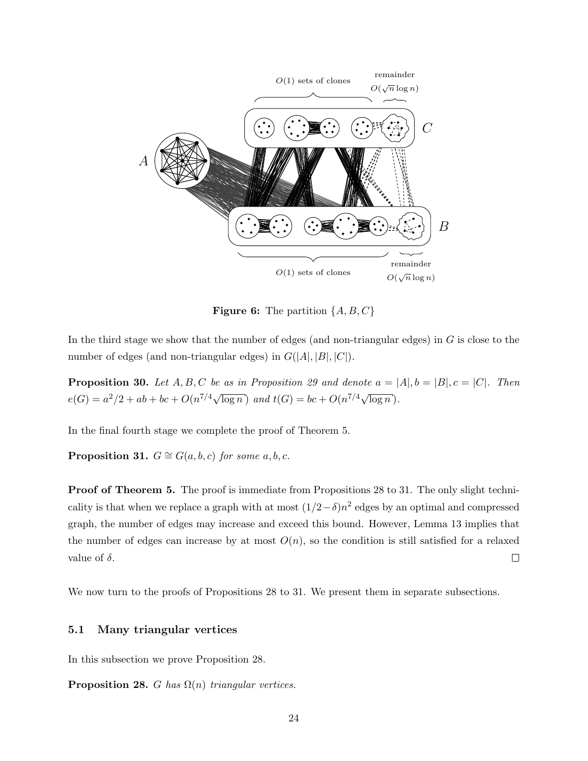<span id="page-23-0"></span>

**Figure 6:** The partition  $\{A, B, C\}$ 

In the third stage we show that the number of edges (and non-triangular edges) in  $G$  is close to the number of edges (and non-triangular edges) in  $G(|A|, |B|, |C|)$ .

<span id="page-23-2"></span>**Proposition 30.** Let  $A, B, C$  be as in Proposition [29](#page-22-1) and denote  $a = |A|, b = |B|, c = |C|$ . Then  $e(G) = a^2/2 + ab + bc + O(n^{7/4}\sqrt{\log n})$  and  $t(G) = bc + O(n^{7/4}\sqrt{\log n}).$ 

<span id="page-23-1"></span>In the final fourth stage we complete the proof of Theorem [5.](#page-3-3)

**Proposition 31.**  $G \cong G(a, b, c)$  for some a, b, c.

**Proof of Theorem [5.](#page-3-3)** The proof is immediate from Propositions [28](#page-22-2) to [31.](#page-23-1) The only slight technicality is that when we replace a graph with at most  $(1/2-\delta)n^2$  edges by an optimal and compressed graph, the number of edges may increase and exceed this bound. However, Lemma [13](#page-9-0) implies that the number of edges can increase by at most  $O(n)$ , so the condition is still satisfied for a relaxed value of  $\delta$ .  $\Box$ 

We now turn to the proofs of Propositions [28](#page-22-2) to [31.](#page-23-1) We present them in separate subsections.

### 5.1 Many triangular vertices

In this subsection we prove Proposition [28.](#page-22-2)

**Proposition 28.** G has  $\Omega(n)$  triangular vertices.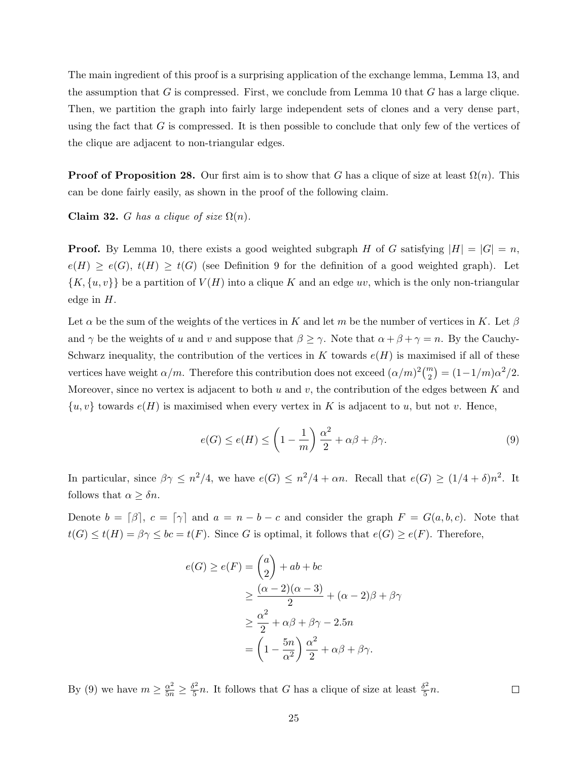The main ingredient of this proof is a surprising application of the exchange lemma, Lemma [13,](#page-9-0) and the assumption that  $G$  is compressed. First, we conclude from Lemma [10](#page-7-1) that  $G$  has a large clique. Then, we partition the graph into fairly large independent sets of clones and a very dense part, using the fact that  $G$  is compressed. It is then possible to conclude that only few of the vertices of the clique are adjacent to non-triangular edges.

**Proof of Proposition [28.](#page-22-2)** Our first aim is to show that G has a clique of size at least  $\Omega(n)$ . This can be done fairly easily, as shown in the proof of the following claim.

<span id="page-24-1"></span>Claim 32. G has a clique of size  $\Omega(n)$ .

**Proof.** By Lemma [10,](#page-7-1) there exists a good weighted subgraph H of G satisfying  $|H| = |G| = n$ ,  $e(H) \geq e(G), t(H) \geq t(G)$  (see Definition [9](#page-6-1) for the definition of a good weighted graph). Let  $\{K, \{u, v\}\}\$ be a partition of  $V(H)$  into a clique K and an edge uv, which is the only non-triangular edge in  $H$ .

Let  $\alpha$  be the sum of the weights of the vertices in K and let m be the number of vertices in K. Let  $\beta$ and  $\gamma$  be the weights of u and v and suppose that  $\beta \geq \gamma$ . Note that  $\alpha + \beta + \gamma = n$ . By the Cauchy-Schwarz inequality, the contribution of the vertices in  $K$  towards  $e(H)$  is maximised if all of these vertices have weight  $\alpha/m$ . Therefore this contribution does not exceed  $(\alpha/m)^2 {m \choose 2} = (1-1/m)\alpha^2/2$ . Moreover, since no vertex is adjacent to both u and v, the contribution of the edges between K and  $\{u, v\}$  towards  $e(H)$  is maximised when every vertex in K is adjacent to u, but not v. Hence,

<span id="page-24-0"></span>
$$
e(G) \le e(H) \le \left(1 - \frac{1}{m}\right)\frac{\alpha^2}{2} + \alpha\beta + \beta\gamma.
$$
\n(9)

 $\Box$ 

In particular, since  $\beta \gamma \leq n^2/4$ , we have  $e(G) \leq n^2/4 + \alpha n$ . Recall that  $e(G) \geq (1/4 + \delta)n^2$ . It follows that  $\alpha \geq \delta n$ .

Denote  $b = \lceil \beta \rceil$ ,  $c = \lceil \gamma \rceil$  and  $a = n - b - c$  and consider the graph  $F = G(a, b, c)$ . Note that  $t(G) \leq t(H) = \beta \gamma \leq bc = t(F)$ . Since G is optimal, it follows that  $e(G) \geq e(F)$ . Therefore,

$$
e(G) \ge e(F) = \binom{a}{2} + ab + bc
$$
  
\n
$$
\ge \frac{(\alpha - 2)(\alpha - 3)}{2} + (\alpha - 2)\beta + \beta\gamma
$$
  
\n
$$
\ge \frac{\alpha^2}{2} + \alpha\beta + \beta\gamma - 2.5n
$$
  
\n
$$
= \left(1 - \frac{5n}{\alpha^2}\right)\frac{\alpha^2}{2} + \alpha\beta + \beta\gamma.
$$

By [\(9\)](#page-24-0) we have  $m \geq \frac{\alpha^2}{5n} \geq \frac{\delta^2}{5}$  $\frac{\delta^2}{5}n$ . It follows that G has a clique of size at least  $\frac{\delta^2}{5}$  $\frac{5}{5}n$ .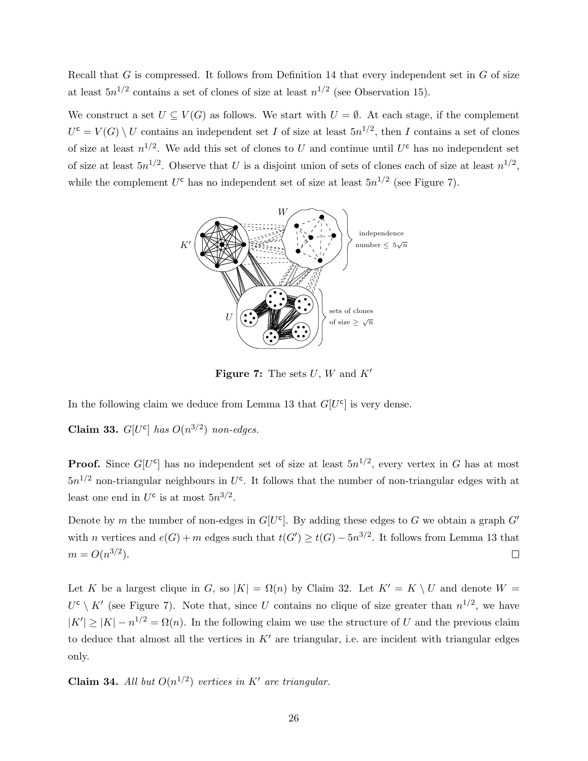Recall that  $G$  is compressed. It follows from Definition [14](#page-10-4) that every independent set in  $G$  of size at least  $5n^{1/2}$  contains a set of clones of size at least  $n^{1/2}$  (see Observation [15\)](#page-11-2).

<span id="page-25-0"></span>We construct a set  $U \subseteq V(G)$  as follows. We start with  $U = \emptyset$ . At each stage, if the complement  $U^{\mathsf{c}} = V(G) \setminus U$  contains an independent set I of size at least  $5n^{1/2}$ , then I contains a set of clones of size at least  $n^{1/2}$ . We add this set of clones to U and continue until U<sup>c</sup> has no independent set of size at least  $5n^{1/2}$ . Observe that U is a disjoint union of sets of clones each of size at least  $n^{1/2}$ , while the complement  $U^c$  has no independent set of size at least  $5n^{1/2}$  (see Figure [7\)](#page-25-0).



**Figure 7:** The sets  $U, W$  and  $K'$ 

<span id="page-25-1"></span>In the following claim we deduce from Lemma [13](#page-9-0) that  $G[U<sup>c</sup>]$  is very dense.

Claim 33.  $G[U^c]$  has  $O(n^{3/2})$  non-edges.

**Proof.** Since  $G[U^c]$  has no independent set of size at least  $5n^{1/2}$ , every vertex in G has at most  $5n^{1/2}$  non-triangular neighbours in U<sup>c</sup>. It follows that the number of non-triangular edges with at least one end in  $U^c$  is at most  $5n^{3/2}$ .

Denote by m the number of non-edges in  $G[U<sup>c</sup>]$ . By adding these edges to G we obtain a graph  $G'$ with n vertices and  $e(G) + m$  edges such that  $t(G') \ge t(G) - 5n^{3/2}$ . It follows from Lemma [13](#page-9-0) that  $m = O(n^{3/2}).$  $\Box$ 

Let K be a largest clique in G, so  $|K| = \Omega(n)$  by Claim [32.](#page-24-1) Let  $K' = K \setminus U$  and denote  $W =$  $U^{\mathsf{c}} \setminus K'$  (see Figure [7\)](#page-25-0). Note that, since U contains no clique of size greater than  $n^{1/2}$ , we have  $|K'| \ge |K| - n^{1/2} = \Omega(n)$ . In the following claim we use the structure of U and the previous claim to deduce that almost all the vertices in  $K'$  are triangular, i.e. are incident with triangular edges only.

**Claim 34.** All but  $O(n^{1/2})$  vertices in K' are triangular.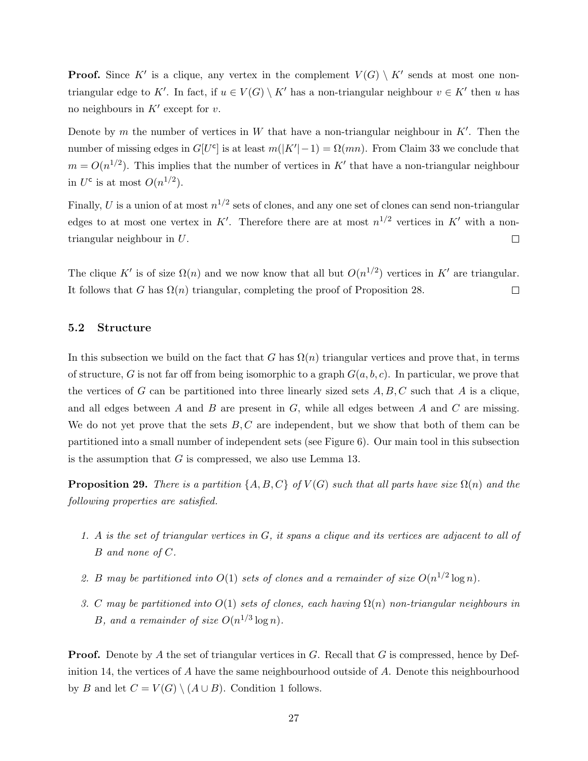**Proof.** Since K' is a clique, any vertex in the complement  $V(G) \setminus K'$  sends at most one nontriangular edge to K'. In fact, if  $u \in V(G) \setminus K'$  has a non-triangular neighbour  $v \in K'$  then u has no neighbours in  $K'$  except for v.

Denote by m the number of vertices in W that have a non-triangular neighbour in  $K'$ . Then the number of missing edges in  $G[U^c]$  is at least  $m(|K'|-1) = \Omega(mn)$ . From Claim [33](#page-25-1) we conclude that  $m = O(n^{1/2})$ . This implies that the number of vertices in K' that have a non-triangular neighbour in  $U^{\mathsf{c}}$  is at most  $O(n^{1/2})$ .

Finally, U is a union of at most  $n^{1/2}$  sets of clones, and any one set of clones can send non-triangular edges to at most one vertex in K'. Therefore there are at most  $n^{1/2}$  vertices in K' with a nontriangular neighbour in U.  $\Box$ 

The clique K' is of size  $\Omega(n)$  and we now know that all but  $O(n^{1/2})$  vertices in K' are triangular. It follows that G has  $\Omega(n)$  triangular, completing the proof of Proposition [28.](#page-22-2)  $\Box$ 

#### 5.2 Structure

In this subsection we build on the fact that G has  $\Omega(n)$  triangular vertices and prove that, in terms of structure, G is not far off from being isomorphic to a graph  $G(a, b, c)$ . In particular, we prove that the vertices of G can be partitioned into three linearly sized sets  $A, B, C$  such that A is a clique, and all edges between  $A$  and  $B$  are present in  $G$ , while all edges between  $A$  and  $C$  are missing. We do not yet prove that the sets  $B, C$  are independent, but we show that both of them can be partitioned into a small number of independent sets (see Figure [6\)](#page-23-0). Our main tool in this subsection is the assumption that  $G$  is compressed, we also use Lemma [13.](#page-9-0)

**Proposition 29.** There is a partition  $\{A, B, C\}$  of  $V(G)$  such that all parts have size  $\Omega(n)$  and the following properties are satisfied.

- 1. A is the set of triangular vertices in G, it spans a clique and its vertices are adjacent to all of B and none of C.
- 2. B may be partitioned into  $O(1)$  sets of clones and a remainder of size  $O(n^{1/2} \log n)$ .
- 3. C may be partitioned into  $O(1)$  sets of clones, each having  $\Omega(n)$  non-triangular neighbours in B, and a remainder of size  $O(n^{1/3}\log n)$ .

**Proof.** Denote by A the set of triangular vertices in G. Recall that G is compressed, hence by Def-inition [14,](#page-10-4) the vertices of A have the same neighbourhood outside of A. Denote this neighbourhood by B and let  $C = V(G) \setminus (A \cup B)$ . Condition [1](#page-22-3) follows.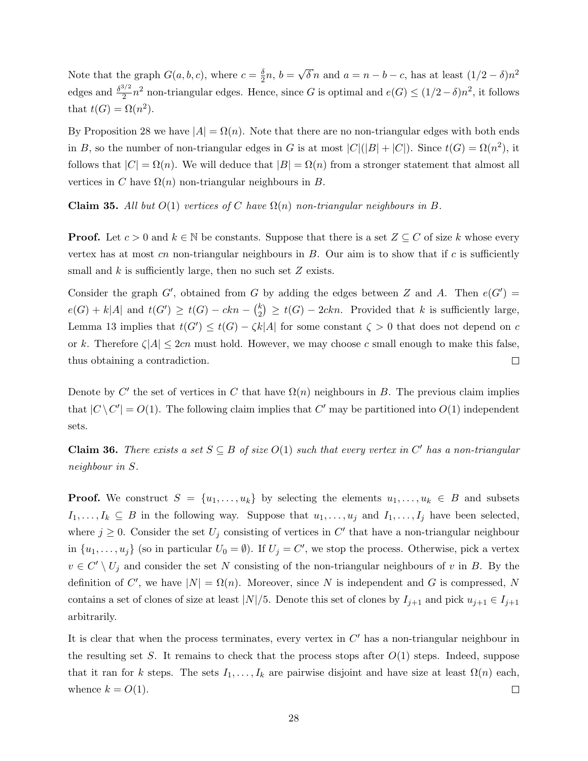Note that the graph  $G(a, b, c)$ , where  $c = \frac{\delta}{2}$  $\frac{\delta}{2}n, b =$ √  $\overline{\delta} n$  and  $a = n - b - c$ , has at least  $(1/2 - \delta)n^2$ edges and  $\frac{\delta^{3/2}}{2}$  $\frac{2}{2}n^2$  non-triangular edges. Hence, since G is optimal and  $e(G) \leq (1/2-\delta)n^2$ , it follows that  $t(G) = \Omega(n^2)$ .

By Proposition [28](#page-22-2) we have  $|A| = \Omega(n)$ . Note that there are no non-triangular edges with both ends in B, so the number of non-triangular edges in G is at most  $|C|(|B|+|C|)$ . Since  $t(G) = \Omega(n^2)$ , it follows that  $|C| = \Omega(n)$ . We will deduce that  $|B| = \Omega(n)$  from a stronger statement that almost all vertices in C have  $\Omega(n)$  non-triangular neighbours in B.

Claim 35. All but  $O(1)$  vertices of C have  $\Omega(n)$  non-triangular neighbours in B.

**Proof.** Let  $c > 0$  and  $k \in \mathbb{N}$  be constants. Suppose that there is a set  $Z \subseteq C$  of size k whose every vertex has at most  $cn$  non-triangular neighbours in  $B$ . Our aim is to show that if  $c$  is sufficiently small and  $k$  is sufficiently large, then no such set  $Z$  exists.

Consider the graph G', obtained from G by adding the edges between Z and A. Then  $e(G') =$  $e(G) + k|A|$  and  $t(G') \geq t(G) - ckn - {k \choose 2}$  $\binom{k}{2} \geq t(G) - 2ckn$ . Provided that k is sufficiently large, Lemma [13](#page-9-0) implies that  $t(G') \leq t(G) - \zeta k|A|$  for some constant  $\zeta > 0$  that does not depend on c or k. Therefore  $\zeta|A| \leq 2cn$  must hold. However, we may choose c small enough to make this false, thus obtaining a contradiction.  $\Box$ 

Denote by C' the set of vertices in C that have  $\Omega(n)$  neighbours in B. The previous claim implies that  $|C \setminus C'| = O(1)$ . The following claim implies that C' may be partitioned into  $O(1)$  independent sets.

**Claim 36.** There exists a set  $S \subseteq B$  of size  $O(1)$  such that every vertex in C' has a non-triangular neighbour in S.

**Proof.** We construct  $S = \{u_1, \ldots, u_k\}$  by selecting the elements  $u_1, \ldots, u_k \in B$  and subsets  $I_1, \ldots, I_k \subseteq B$  in the following way. Suppose that  $u_1, \ldots, u_j$  and  $I_1, \ldots, I_j$  have been selected, where  $j \geq 0$ . Consider the set  $U_j$  consisting of vertices in C' that have a non-triangular neighbour in  $\{u_1, \ldots, u_j\}$  (so in particular  $U_0 = \emptyset$ ). If  $U_j = C'$ , we stop the process. Otherwise, pick a vertex  $v \in C' \setminus U_j$  and consider the set N consisting of the non-triangular neighbours of v in B. By the definition of C', we have  $|N| = \Omega(n)$ . Moreover, since N is independent and G is compressed, N contains a set of clones of size at least  $|N|/5$ . Denote this set of clones by  $I_{j+1}$  and pick  $u_{j+1} \in I_{j+1}$ arbitrarily.

It is clear that when the process terminates, every vertex in  $C'$  has a non-triangular neighbour in the resulting set S. It remains to check that the process stops after  $O(1)$  steps. Indeed, suppose that it ran for k steps. The sets  $I_1, \ldots, I_k$  are pairwise disjoint and have size at least  $\Omega(n)$  each, whence  $k = O(1)$ .  $\Box$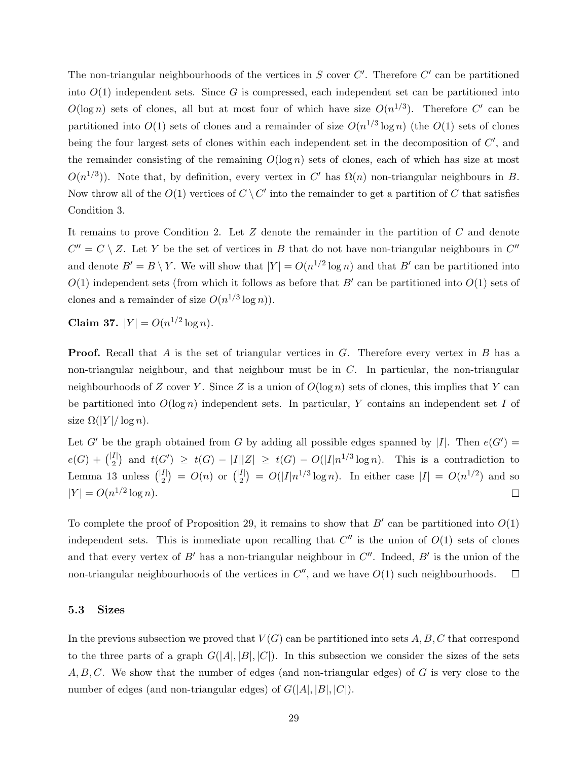The non-triangular neighbourhoods of the vertices in  $S$  cover  $C'$ . Therefore  $C'$  can be partitioned into  $O(1)$  independent sets. Since G is compressed, each independent set can be partitioned into  $O(\log n)$  sets of clones, all but at most four of which have size  $O(n^{1/3})$ . Therefore C' can be partitioned into  $O(1)$  sets of clones and a remainder of size  $O(n^{1/3} \log n)$  (the  $O(1)$  sets of clones being the four largest sets of clones within each independent set in the decomposition of  $C'$ , and the remainder consisting of the remaining  $O(\log n)$  sets of clones, each of which has size at most  $O(n^{1/3})$ ). Note that, by definition, every vertex in C' has  $\Omega(n)$  non-triangular neighbours in B. Now throw all of the  $O(1)$  vertices of  $C \setminus C'$  into the remainder to get a partition of C that satisfies Condition [3.](#page-22-4)

It remains to prove Condition [2.](#page-22-5) Let  $Z$  denote the remainder in the partition of  $C$  and denote  $C'' = C \setminus Z$ . Let Y be the set of vertices in B that do not have non-triangular neighbours in  $C''$ and denote  $B' = B \setminus Y$ . We will show that  $|Y| = O(n^{1/2} \log n)$  and that  $B'$  can be partitioned into  $O(1)$  independent sets (from which it follows as before that  $B'$  can be partitioned into  $O(1)$  sets of clones and a remainder of size  $O(n^{1/3} \log n)$ .

Claim 37.  $|Y| = O(n^{1/2} \log n)$ .

**Proof.** Recall that A is the set of triangular vertices in G. Therefore every vertex in B has a non-triangular neighbour, and that neighbour must be in C. In particular, the non-triangular neighbourhoods of Z cover Y. Since Z is a union of  $O(\log n)$  sets of clones, this implies that Y can be partitioned into  $O(\log n)$  independent sets. In particular, Y contains an independent set I of size  $\Omega(|Y|/\log n)$ .

Let G' be the graph obtained from G by adding all possible edges spanned by |I|. Then  $e(G') =$  $e(G) + \binom{|I|}{2}$  and  $t(G') \geq t(G) - |I||Z| \geq t(G) - O(|I|n^{1/3}\log n)$ . This is a contradiction to Lemma [13](#page-9-0) unless  $\binom{|I|}{2} = O(n)$  or  $\binom{|I|}{2} = O(|I|n^{1/3}\log n)$ . In either case  $|I| = O(n^{1/2})$  and so  $|Y| = O(n^{1/2} \log n).$  $\Box$ 

To complete the proof of Proposition [29,](#page-22-1) it remains to show that  $B'$  can be partitioned into  $O(1)$ independent sets. This is immediate upon recalling that  $C''$  is the union of  $O(1)$  sets of clones and that every vertex of B' has a non-triangular neighbour in  $C''$ . Indeed, B' is the union of the non-triangular neighbourhoods of the vertices in  $C''$ , and we have  $O(1)$  such neighbourhoods.  $\Box$ 

#### 5.3 Sizes

In the previous subsection we proved that  $V(G)$  can be partitioned into sets A, B, C that correspond to the three parts of a graph  $G(|A|, |B|, |C|)$ . In this subsection we consider the sizes of the sets  $A, B, C$ . We show that the number of edges (and non-triangular edges) of G is very close to the number of edges (and non-triangular edges) of  $G(|A|, |B|, |C|)$ .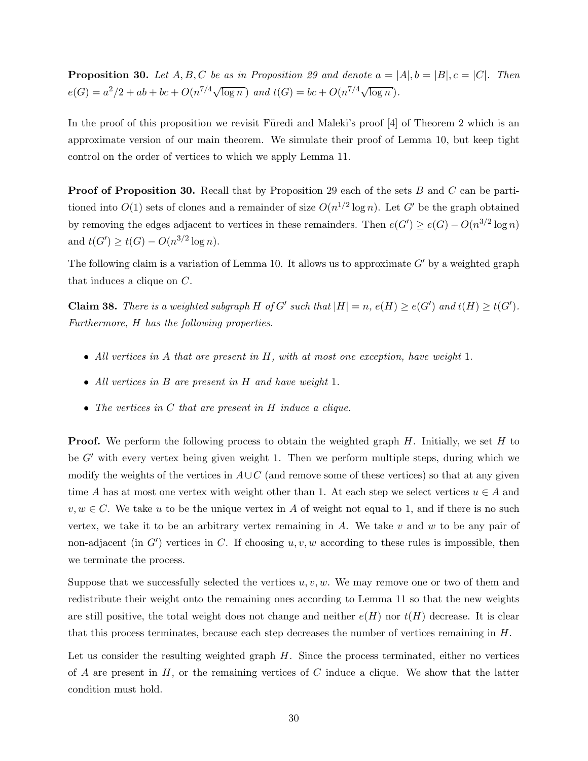**Proposition 30.** Let A, B, C be as in Proposition [29](#page-22-1) and denote  $a = |A|, b = |B|, c = |C|$ . Then  $e(G) = a^2/2 + ab + bc + O(n^{7/4}\sqrt{\log n})$  and  $t(G) = bc + O(n^{7/4}\sqrt{\log n}).$ 

In the proof of this proposition we revisit Füredi and Maleki's proof  $[4]$  of Theorem [2](#page-2-1) which is an approximate version of our main theorem. We simulate their proof of Lemma [10,](#page-7-1) but keep tight control on the order of vertices to which we apply Lemma [11.](#page-7-2)

**Proof of Proposition [30.](#page-23-2)** Recall that by Proposition [29](#page-22-1) each of the sets B and C can be partitioned into  $O(1)$  sets of clones and a remainder of size  $O(n^{1/2} \log n)$ . Let G' be the graph obtained by removing the edges adjacent to vertices in these remainders. Then  $e(G') \ge e(G) - O(n^{3/2} \log n)$ and  $t(G') \ge t(G) - O(n^{3/2} \log n)$ .

The following claim is a variation of Lemma [10.](#page-7-1) It allows us to approximate  $G'$  by a weighted graph that induces a clique on C.

<span id="page-29-0"></span>**Claim 38.** There is a weighted subgraph H of G' such that  $|H| = n$ ,  $e(H) \ge e(G')$  and  $t(H) \ge t(G')$ . Furthermore, H has the following properties.

- All vertices in A that are present in  $H$ , with at most one exception, have weight 1.
- All vertices in B are present in H and have weight 1.
- The vertices in C that are present in H induce a clique.

**Proof.** We perform the following process to obtain the weighted graph  $H$ . Initially, we set  $H$  to be  $G'$  with every vertex being given weight 1. Then we perform multiple steps, during which we modify the weights of the vertices in  $A\cup C$  (and remove some of these vertices) so that at any given time A has at most one vertex with weight other than 1. At each step we select vertices  $u \in A$  and  $v, w \in C$ . We take u to be the unique vertex in A of weight not equal to 1, and if there is no such vertex, we take it to be an arbitrary vertex remaining in A. We take  $v$  and  $w$  to be any pair of non-adjacent (in  $G'$ ) vertices in C. If choosing  $u, v, w$  according to these rules is impossible, then we terminate the process.

Suppose that we successfully selected the vertices  $u, v, w$ . We may remove one or two of them and redistribute their weight onto the remaining ones according to Lemma [11](#page-7-2) so that the new weights are still positive, the total weight does not change and neither  $e(H)$  nor  $t(H)$  decrease. It is clear that this process terminates, because each step decreases the number of vertices remaining in H.

Let us consider the resulting weighted graph  $H$ . Since the process terminated, either no vertices of A are present in  $H$ , or the remaining vertices of C induce a clique. We show that the latter condition must hold.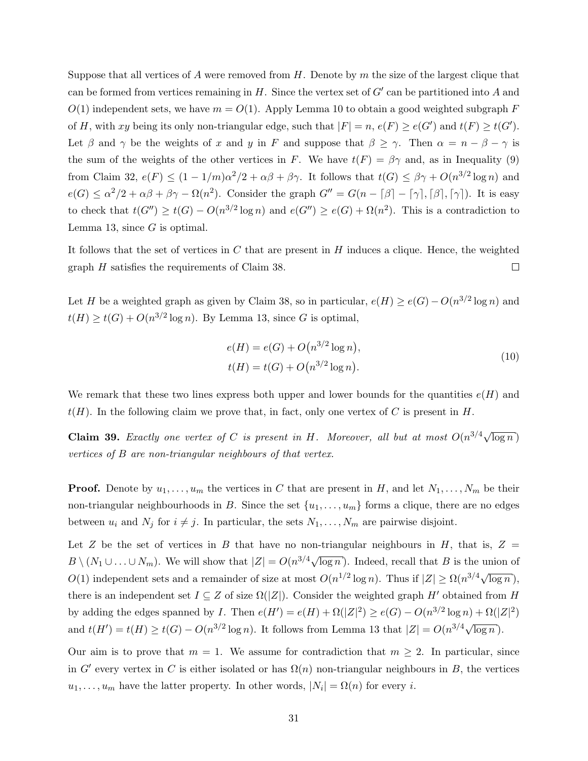Suppose that all vertices of A were removed from H. Denote by m the size of the largest clique that can be formed from vertices remaining in  $H$ . Since the vertex set of  $G'$  can be partitioned into A and  $O(1)$  independent sets, we have  $m = O(1)$ . Apply Lemma [10](#page-7-1) to obtain a good weighted subgraph F of H, with xy being its only non-triangular edge, such that  $|F| = n$ ,  $e(F) \ge e(G')$  and  $t(F) \ge t(G')$ . Let  $\beta$  and  $\gamma$  be the weights of x and y in F and suppose that  $\beta \geq \gamma$ . Then  $\alpha = n - \beta - \gamma$  is the sum of the weights of the other vertices in F. We have  $t(F) = \beta \gamma$  and, as in Inequality [\(9\)](#page-24-0) from Claim [32,](#page-24-1)  $e(F) \le (1 - 1/m)\alpha^2/2 + \alpha\beta + \beta\gamma$ . It follows that  $t(G) \le \beta\gamma + O(n^{3/2} \log n)$  and  $e(G) \le \alpha^2/2 + \alpha\beta + \beta\gamma - \Omega(n^2)$ . Consider the graph  $G'' = G(n - \lceil \beta \rceil - \lceil \gamma \rceil, \lceil \beta \rceil, \lceil \gamma \rceil)$ . It is easy to check that  $t(G'') \ge t(G) - O(n^{3/2} \log n)$  and  $e(G'') \ge e(G) + \Omega(n^2)$ . This is a contradiction to Lemma [13,](#page-9-0) since  $G$  is optimal.

It follows that the set of vertices in  $C$  that are present in  $H$  induces a clique. Hence, the weighted graph H satisfies the requirements of Claim [38.](#page-29-0)  $\Box$ 

Let H be a weighted graph as given by Claim [38,](#page-29-0) so in particular,  $e(H) \ge e(G) - O(n^{3/2} \log n)$  and  $t(H) \ge t(G) + O(n^{3/2} \log n)$ . By Lemma [13,](#page-9-0) since G is optimal,

<span id="page-30-1"></span>
$$
e(H) = e(G) + O(n^{3/2} \log n),
$$
  
\n
$$
t(H) = t(G) + O(n^{3/2} \log n).
$$
\n(10)

We remark that these two lines express both upper and lower bounds for the quantities  $e(H)$  and  $t(H)$ . In the following claim we prove that, in fact, only one vertex of C is present in H.

<span id="page-30-0"></span>**Claim 39.** Exactly one vertex of C is present in H. Moreover, all but at most  $O(n^{3/4}\sqrt{\log n})$ vertices of B are non-triangular neighbours of that vertex.

**Proof.** Denote by  $u_1, \ldots, u_m$  the vertices in C that are present in H, and let  $N_1, \ldots, N_m$  be their non-triangular neighbourhoods in B. Since the set  $\{u_1, \ldots, u_m\}$  forms a clique, there are no edges between  $u_i$  and  $N_j$  for  $i \neq j$ . In particular, the sets  $N_1, \ldots, N_m$  are pairwise disjoint.

Let Z be the set of vertices in B that have no non-triangular neighbours in H, that is,  $Z =$  $B \setminus (N_1 \cup \ldots \cup N_m)$ . We will show that  $|Z| = O(n^{3/4}\sqrt{\log n})$ . Indeed, recall that B is the union of  $O(1)$  independent sets and a remainder of size at most  $O(n^{1/2} \log n)$ . Thus if  $|Z| \ge \Omega(n^{3/4}\sqrt{\log n})$ , there is an independent set  $I \subseteq Z$  of size  $\Omega(|Z|)$ . Consider the weighted graph H' obtained from H by adding the edges spanned by *I*. Then  $e(H') = e(H) + \Omega(|Z|^2) \ge e(G) - O(n^{3/2} \log n) + \Omega(|Z|^2)$ and  $t(H') = t(H) \geq t(G) - O(n^{3/2} \log n)$ . It follows from Lemma [13](#page-9-0) that  $|Z| = O(n^{3/4}\sqrt{\log n})$ .

Our aim is to prove that  $m = 1$ . We assume for contradiction that  $m \geq 2$ . In particular, since in G' every vertex in C is either isolated or has  $\Omega(n)$  non-triangular neighbours in B, the vertices  $u_1, \ldots, u_m$  have the latter property. In other words,  $|N_i| = \Omega(n)$  for every *i*.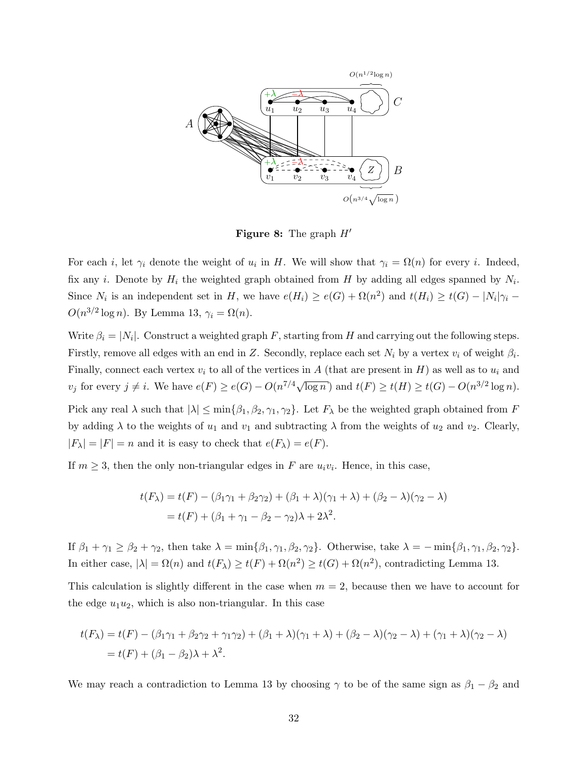

**Figure 8:** The graph  $H'$ 

For each *i*, let  $\gamma_i$  denote the weight of  $u_i$  in H. We will show that  $\gamma_i = \Omega(n)$  for every *i*. Indeed, fix any *i*. Denote by  $H_i$  the weighted graph obtained from H by adding all edges spanned by  $N_i$ . Since  $N_i$  is an independent set in H, we have  $e(H_i) \ge e(G) + \Omega(n^2)$  and  $t(H_i) \ge t(G) - |N_i|\gamma_i$  $O(n^{3/2} \log n)$ . By Lemma [13,](#page-9-0)  $\gamma_i = \Omega(n)$ .

Write  $\beta_i = |N_i|$ . Construct a weighted graph F, starting from H and carrying out the following steps. Firstly, remove all edges with an end in Z. Secondly, replace each set  $N_i$  by a vertex  $v_i$  of weight  $\beta_i$ . Finally, connect each vertex  $v_i$  to all of the vertices in A (that are present in H) as well as to  $u_i$  and  $v_j$  for every  $j \neq i$ . We have  $e(F) \geq e(G) - O(n^{7/4}\sqrt{\log n})$  and  $t(F) \geq t(H) \geq t(G) - O(n^{3/2} \log n)$ .

Pick any real  $\lambda$  such that  $|\lambda| \le \min{\{\beta_1, \beta_2, \gamma_1, \gamma_2\}}$ . Let  $F_\lambda$  be the weighted graph obtained from F by adding  $\lambda$  to the weights of  $u_1$  and  $v_1$  and subtracting  $\lambda$  from the weights of  $u_2$  and  $v_2$ . Clearly,  $|F_\lambda| = |F| = n$  and it is easy to check that  $e(F_\lambda) = e(F)$ .

If  $m \geq 3$ , then the only non-triangular edges in F are  $u_i v_i$ . Hence, in this case,

$$
t(F_{\lambda}) = t(F) - (\beta_1 \gamma_1 + \beta_2 \gamma_2) + (\beta_1 + \lambda)(\gamma_1 + \lambda) + (\beta_2 - \lambda)(\gamma_2 - \lambda)
$$
  
=  $t(F) + (\beta_1 + \gamma_1 - \beta_2 - \gamma_2)\lambda + 2\lambda^2$ .

If  $\beta_1 + \gamma_1 \geq \beta_2 + \gamma_2$ , then take  $\lambda = \min{\{\beta_1, \gamma_1, \beta_2, \gamma_2\}}$ . Otherwise, take  $\lambda = -\min{\{\beta_1, \gamma_1, \beta_2, \gamma_2\}}$ . In either case,  $|\lambda| = \Omega(n)$  and  $t(F_{\lambda}) \ge t(F) + \Omega(n^2) \ge t(G) + \Omega(n^2)$ , contradicting Lemma [13.](#page-9-0)

This calculation is slightly different in the case when  $m = 2$ , because then we have to account for the edge  $u_1u_2$ , which is also non-triangular. In this case

$$
t(F_{\lambda}) = t(F) - (\beta_1 \gamma_1 + \beta_2 \gamma_2 + \gamma_1 \gamma_2) + (\beta_1 + \lambda)(\gamma_1 + \lambda) + (\beta_2 - \lambda)(\gamma_2 - \lambda) + (\gamma_1 + \lambda)(\gamma_2 - \lambda)
$$
  
=  $t(F) + (\beta_1 - \beta_2)\lambda + \lambda^2$ .

We may reach a contradiction to Lemma [13](#page-9-0) by choosing  $\gamma$  to be of the same sign as  $\beta_1 - \beta_2$  and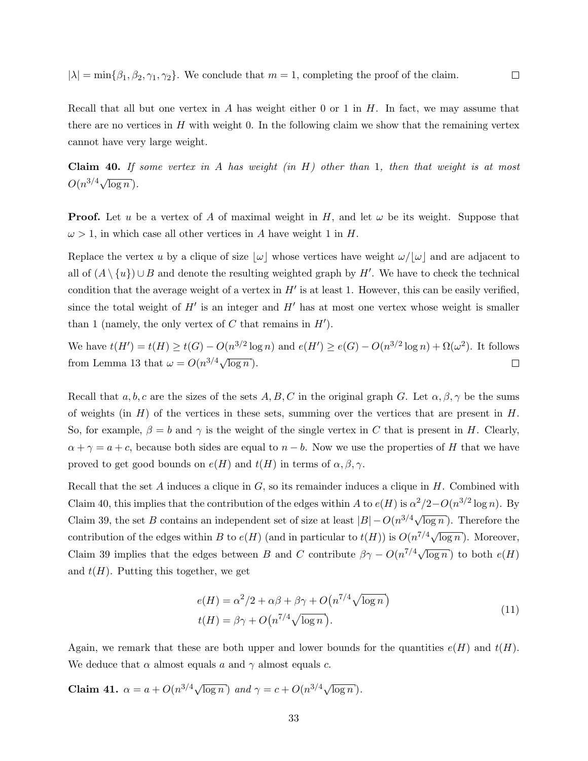$|\lambda| = \min\{\beta_1, \beta_2, \gamma_1, \gamma_2\}.$  We conclude that  $m = 1$ , completing the proof of the claim.

Recall that all but one vertex in A has weight either 0 or 1 in  $H$ . In fact, we may assume that there are no vertices in  $H$  with weight 0. In the following claim we show that the remaining vertex cannot have very large weight.

 $\Box$ 

<span id="page-32-0"></span>**Claim 40.** If some vertex in A has weight (in  $H$ ) other than 1, then that weight is at most  $O(n^{3/4}\sqrt{\log n}).$ 

**Proof.** Let u be a vertex of A of maximal weight in H, and let  $\omega$  be its weight. Suppose that  $\omega > 1$ , in which case all other vertices in A have weight 1 in H.

Replace the vertex u by a clique of size  $|\omega|$  whose vertices have weight  $\omega/|\omega|$  and are adjacent to all of  $(A \setminus \{u\}) \cup B$  and denote the resulting weighted graph by H'. We have to check the technical condition that the average weight of a vertex in  $H'$  is at least 1. However, this can be easily verified, since the total weight of  $H'$  is an integer and  $H'$  has at most one vertex whose weight is smaller than 1 (namely, the only vertex of C that remains in  $H'$ ).

We have  $t(H') = t(H) \ge t(G) - O(n^{3/2} \log n)$  and  $e(H') \ge e(G) - O(n^{3/2} \log n) + \Omega(\omega^2)$ . It follows from Lemma [13](#page-9-0) that  $\omega = O(n^{3/4}\sqrt{\log n})$ .  $\Box$ 

Recall that  $a, b, c$  are the sizes of the sets  $A, B, C$  in the original graph G. Let  $\alpha, \beta, \gamma$  be the sums of weights (in  $H$ ) of the vertices in these sets, summing over the vertices that are present in  $H$ . So, for example,  $\beta = b$  and  $\gamma$  is the weight of the single vertex in C that is present in H. Clearly,  $\alpha + \gamma = a + c$ , because both sides are equal to  $n - b$ . Now we use the properties of H that we have proved to get good bounds on  $e(H)$  and  $t(H)$  in terms of  $\alpha, \beta, \gamma$ .

Recall that the set  $A$  induces a clique in  $G$ , so its remainder induces a clique in  $H$ . Combined with Claim [40,](#page-32-0) this implies that the contribution of the edges within A to  $e(H)$  is  $\alpha^2/2-O(n^{3/2}\log n)$ . By Claim [39,](#page-30-0) the set B contains an independent set of size at least  $|B| - O(n^{3/4}\sqrt{\log n})$ . Therefore the contribution of the edges within B to  $e(H)$  (and in particular to  $t(H)$ ) is  $O(n^{7/4}\sqrt{\log n})$ . Moreover, Claim [39](#page-30-0) implies that the edges between B and C contribute  $\beta\gamma - O(n^{7/4}\sqrt{\log n})$  to both  $e(H)$ and  $t(H)$ . Putting this together, we get

<span id="page-32-1"></span>
$$
e(H) = \alpha^2/2 + \alpha\beta + \beta\gamma + O(n^{7/4}\sqrt{\log n})
$$
  

$$
t(H) = \beta\gamma + O(n^{7/4}\sqrt{\log n}).
$$
 (11)

Again, we remark that these are both upper and lower bounds for the quantities  $e(H)$  and  $t(H)$ . We deduce that  $\alpha$  almost equals a and  $\gamma$  almost equals c.

Claim 41.  $\alpha = a + O(n^{3/4}\sqrt{\log n})$  and  $\gamma = c + O(n^{3/4}\sqrt{\log n})$ .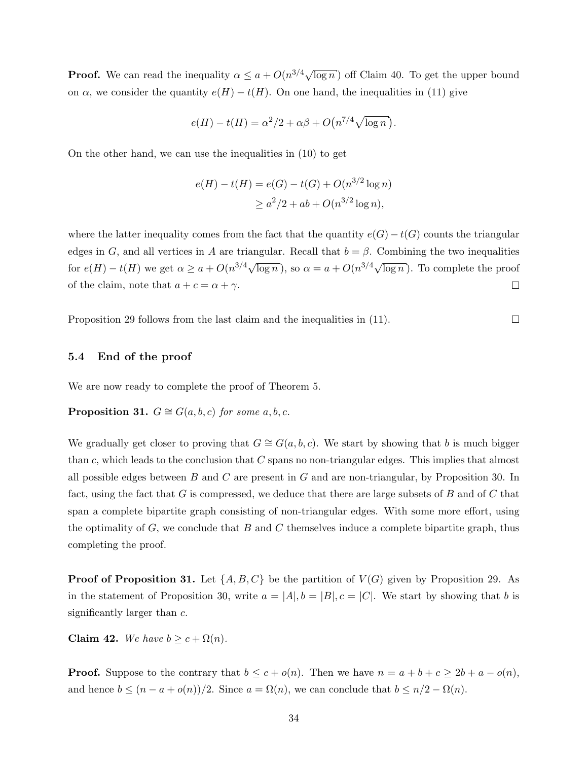**Proof.** We can read the inequality  $\alpha \leq a + O(n^{3/4}\sqrt{\log n})$  off Claim [40.](#page-32-0) To get the upper bound on  $\alpha$ , we consider the quantity  $e(H) - t(H)$ . On one hand, the inequalities in [\(11\)](#page-32-1) give

$$
e(H) - t(H) = \alpha^2/2 + \alpha\beta + O\left(n^{7/4}\sqrt{\log n}\right).
$$

On the other hand, we can use the inequalities in [\(10\)](#page-30-1) to get

$$
e(H) - t(H) = e(G) - t(G) + O(n^{3/2} \log n)
$$
  
 
$$
\geq a^2/2 + ab + O(n^{3/2} \log n),
$$

where the latter inequality comes from the fact that the quantity  $e(G) - t(G)$  counts the triangular edges in G, and all vertices in A are triangular. Recall that  $b = \beta$ . Combining the two inequalities for  $e(H) - t(H)$  we get  $\alpha \ge a + O(n^{3/4}\sqrt{\log n})$ , so  $\alpha = a + O(n^{3/4}\sqrt{\log n})$ . To complete the proof of the claim, note that  $a + c = \alpha + \gamma$ .  $\Box$ 

 $\Box$ 

Proposition [29](#page-22-1) follows from the last claim and the inequalities in [\(11\)](#page-32-1).

### 5.4 End of the proof

We are now ready to complete the proof of Theorem [5.](#page-3-3)

**Proposition 31.**  $G \cong G(a, b, c)$  for some  $a, b, c$ .

We gradually get closer to proving that  $G \cong G(a, b, c)$ . We start by showing that b is much bigger than c, which leads to the conclusion that  $C$  spans no non-triangular edges. This implies that almost all possible edges between  $B$  and  $C$  are present in  $G$  and are non-triangular, by Proposition [30.](#page-23-2) In fact, using the fact that G is compressed, we deduce that there are large subsets of B and of C that span a complete bipartite graph consisting of non-triangular edges. With some more effort, using the optimality of  $G$ , we conclude that  $B$  and  $C$  themselves induce a complete bipartite graph, thus completing the proof.

**Proof of Proposition [31.](#page-23-1)** Let  $\{A, B, C\}$  be the partition of  $V(G)$  given by Proposition [29.](#page-22-1) As in the statement of Proposition [30,](#page-23-2) write  $a = |A|, b = |B|, c = |C|$ . We start by showing that b is significantly larger than c.

<span id="page-33-0"></span>Claim 42. We have  $b \geq c + \Omega(n)$ .

**Proof.** Suppose to the contrary that  $b \leq c + o(n)$ . Then we have  $n = a + b + c \geq 2b + a - o(n)$ , and hence  $b \leq (n - a + o(n))/2$ . Since  $a = \Omega(n)$ , we can conclude that  $b \leq n/2 - \Omega(n)$ .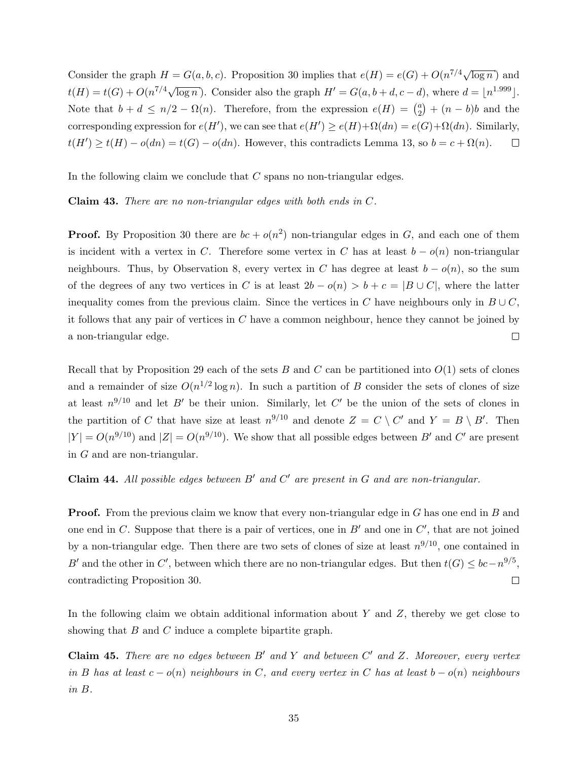Consider the graph  $H = G(a, b, c)$ . Proposition [30](#page-23-2) implies that  $e(H) = e(G) + O(n^{7/4}\sqrt{\log n})$  and  $t(H) = t(G) + O(n^{7/4}\sqrt{\log n})$ . Consider also the graph  $H' = G(a, b + d, c - d)$ , where  $d = \lfloor n^{1.999} \rfloor$ . Note that  $b + d \leq n/2 - \Omega(n)$ . Therefore, from the expression  $e(H) = \binom{a}{2}$  $a_2^a$  +  $(n - b)b$  and the corresponding expression for  $e(H')$ , we can see that  $e(H') \ge e(H) + \Omega(dn) = e(G) + \Omega(dn)$ . Similarly,  $t(H') \ge t(H) - o(dn) = t(G) - o(dn)$ . However, this contradicts Lemma [13,](#page-9-0) so  $b = c + \Omega(n)$ .  $\Box$ 

In the following claim we conclude that  $C$  spans no non-triangular edges.

Claim 43. There are no non-triangular edges with both ends in C.

**Proof.** By Proposition [30](#page-23-2) there are  $bc + o(n^2)$  non-triangular edges in G, and each one of them is incident with a vertex in C. Therefore some vertex in C has at least  $b - o(n)$  non-triangular neighbours. Thus, by Observation [8,](#page-5-2) every vertex in C has degree at least  $b - o(n)$ , so the sum of the degrees of any two vertices in C is at least  $2b - o(n) > b + c = |B \cup C|$ , where the latter inequality comes from the previous claim. Since the vertices in C have neighbours only in  $B\cup C$ , it follows that any pair of vertices in  $C$  have a common neighbour, hence they cannot be joined by a non-triangular edge.  $\Box$ 

Recall that by Proposition [29](#page-22-1) each of the sets B and C can be partitioned into  $O(1)$  sets of clones and a remainder of size  $O(n^{1/2} \log n)$ . In such a partition of B consider the sets of clones of size at least  $n^{9/10}$  and let B' be their union. Similarly, let C' be the union of the sets of clones in the partition of C that have size at least  $n^{9/10}$  and denote  $Z = C \setminus C'$  and  $Y = B \setminus B'$ . Then  $|Y| = O(n^{9/10})$  and  $|Z| = O(n^{9/10})$ . We show that all possible edges between B' and C' are present in  $G$  and are non-triangular.

<span id="page-34-0"></span>**Claim 44.** All possible edges between  $B'$  and  $C'$  are present in G and are non-triangular.

**Proof.** From the previous claim we know that every non-triangular edge in G has one end in B and one end in C. Suppose that there is a pair of vertices, one in  $B'$  and one in  $C'$ , that are not joined by a non-triangular edge. Then there are two sets of clones of size at least  $n^{9/10}$ , one contained in B' and the other in C', between which there are no non-triangular edges. But then  $t(G) \leq bc - n^{9/5}$ , contradicting Proposition [30.](#page-23-2)  $\Box$ 

In the following claim we obtain additional information about Y and  $Z$ , thereby we get close to showing that B and C induce a complete bipartite graph.

<span id="page-34-1"></span>**Claim 45.** There are no edges between  $B'$  and Y and between  $C'$  and Z. Moreover, every vertex in B has at least  $c - o(n)$  neighbours in C, and every vertex in C has at least  $b - o(n)$  neighbours in B.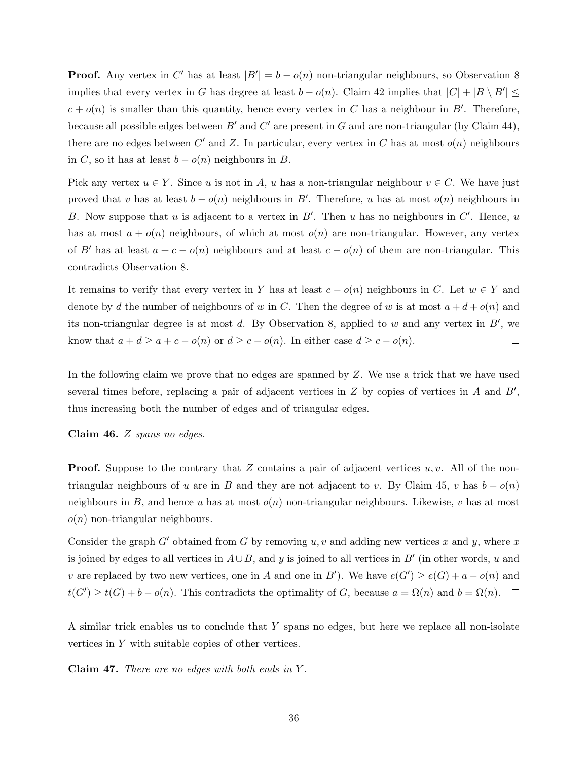**Proof.** Any vertex in C' has at least  $|B'| = b - o(n)$  non-triangular neighbours, so Observation [8](#page-5-2) implies that every vertex in G has degree at least  $b - o(n)$ . Claim [42](#page-33-0) implies that  $|C| + |B \setminus B'| \le$  $c + o(n)$  is smaller than this quantity, hence every vertex in C has a neighbour in B'. Therefore, because all possible edges between B' and C' are present in G and are non-triangular (by Claim [44\)](#page-34-0), there are no edges between C' and Z. In particular, every vertex in C has at most  $o(n)$  neighbours in C, so it has at least  $b - o(n)$  neighbours in B.

Pick any vertex  $u \in Y$ . Since u is not in A, u has a non-triangular neighbour  $v \in C$ . We have just proved that v has at least  $b - o(n)$  neighbours in B'. Therefore, u has at most  $o(n)$  neighbours in B. Now suppose that u is adjacent to a vertex in  $B'$ . Then u has no neighbours in  $C'$ . Hence, u has at most  $a + o(n)$  neighbours, of which at most  $o(n)$  are non-triangular. However, any vertex of B' has at least  $a + c - o(n)$  neighbours and at least  $c - o(n)$  of them are non-triangular. This contradicts Observation [8.](#page-5-2)

It remains to verify that every vertex in Y has at least  $c - o(n)$  neighbours in C. Let  $w \in Y$  and denote by d the number of neighbours of w in C. Then the degree of w is at most  $a + d + o(n)$  and its non-triangular degree is at most d. By Observation [8,](#page-5-2) applied to w and any vertex in  $B'$ , we know that  $a + d \ge a + c - o(n)$  or  $d \ge c - o(n)$ . In either case  $d \ge c - o(n)$ .  $\Box$ 

In the following claim we prove that no edges are spanned by Z. We use a trick that we have used several times before, replacing a pair of adjacent vertices in  $Z$  by copies of vertices in  $A$  and  $B'$ , thus increasing both the number of edges and of triangular edges.

Claim 46. Z spans no edges.

**Proof.** Suppose to the contrary that Z contains a pair of adjacent vertices  $u, v$ . All of the non-triangular neighbours of u are in B and they are not adjacent to v. By Claim [45,](#page-34-1) v has  $b - o(n)$ neighbours in B, and hence u has at most  $o(n)$  non-triangular neighbours. Likewise, v has at most  $o(n)$  non-triangular neighbours.

Consider the graph G' obtained from G by removing u, v and adding new vertices x and y, where x is joined by edges to all vertices in  $A\cup B$ , and y is joined to all vertices in  $B'$  (in other words, u and v are replaced by two new vertices, one in A and one in B'). We have  $e(G') \ge e(G) + a - o(n)$  and  $t(G') \geq t(G) + b - o(n)$ . This contradicts the optimality of G, because  $a = \Omega(n)$  and  $b = \Omega(n)$ .

A similar trick enables us to conclude that Y spans no edges, but here we replace all non-isolate vertices in Y with suitable copies of other vertices.

<span id="page-35-0"></span>**Claim 47.** There are no edges with both ends in  $Y$ .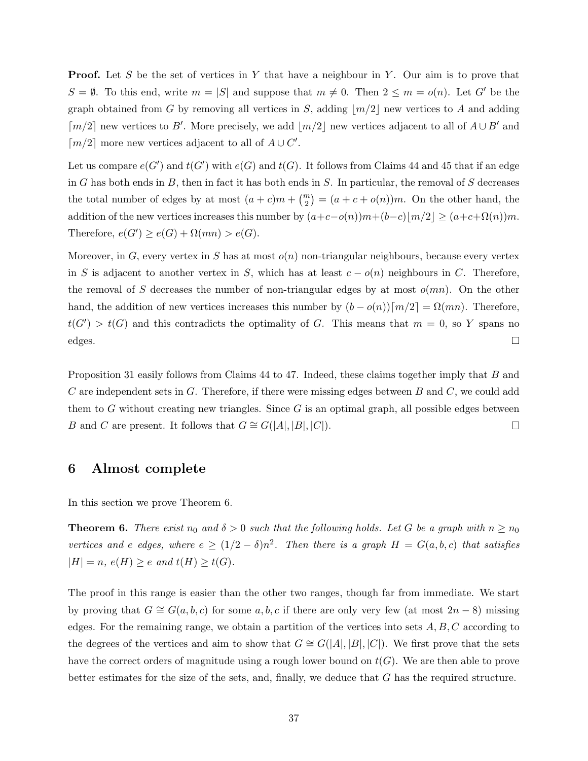**Proof.** Let S be the set of vertices in Y that have a neighbour in Y. Our aim is to prove that  $S = \emptyset$ . To this end, write  $m = |S|$  and suppose that  $m \neq 0$ . Then  $2 \leq m = o(n)$ . Let G' be the graph obtained from G by removing all vertices in S, adding  $\lfloor m/2 \rfloor$  new vertices to A and adding  $\lceil m/2 \rceil$  new vertices to B'. More precisely, we add  $\lfloor m/2 \rfloor$  new vertices adjacent to all of  $A \cup B'$  and  $\lceil m/2 \rceil$  more new vertices adjacent to all of  $A \cup C'$ .

Let us compare  $e(G')$  and  $t(G')$  with  $e(G)$  and  $t(G)$ . It follows from Claims [44](#page-34-0) and [45](#page-34-1) that if an edge in G has both ends in B, then in fact it has both ends in  $S$ . In particular, the removal of S decreases the total number of edges by at most  $(a + c)m + \binom{m}{2} = (a + c + o(n))m$ . On the other hand, the addition of the new vertices increases this number by  $(a+c-o(n))m+(b-c)|m/2| \ge (a+c+\Omega(n))m$ . Therefore,  $e(G') \ge e(G) + \Omega(mn) > e(G)$ .

Moreover, in G, every vertex in S has at most  $o(n)$  non-triangular neighbours, because every vertex in S is adjacent to another vertex in S, which has at least  $c - o(n)$  neighbours in C. Therefore, the removal of S decreases the number of non-triangular edges by at most  $o(mn)$ . On the other hand, the addition of new vertices increases this number by  $(b - o(n))\lceil m/2 \rceil = \Omega(mn)$ . Therefore,  $t(G') > t(G)$  and this contradicts the optimality of G. This means that  $m = 0$ , so Y spans no edges.  $\Box$ 

Proposition [31](#page-23-1) easily follows from Claims [44](#page-34-0) to [47.](#page-35-0) Indeed, these claims together imply that B and C are independent sets in G. Therefore, if there were missing edges between  $B$  and  $C$ , we could add them to G without creating new triangles. Since  $G$  is an optimal graph, all possible edges between B and C are present. It follows that  $G \cong G(|A|, |B|, |C|)$ .  $\Box$ 

### <span id="page-36-0"></span>6 Almost complete

In this section we prove Theorem [6.](#page-4-0)

**Theorem 6.** There exist  $n_0$  and  $\delta > 0$  such that the following holds. Let G be a graph with  $n \geq n_0$ vertices and e edges, where  $e \ge (1/2 - \delta)n^2$ . Then there is a graph  $H = G(a, b, c)$  that satisfies  $|H| = n$ ,  $e(H) \ge e$  and  $t(H) \ge t(G)$ .

The proof in this range is easier than the other two ranges, though far from immediate. We start by proving that  $G \cong G(a, b, c)$  for some  $a, b, c$  if there are only very few (at most  $2n - 8$ ) missing edges. For the remaining range, we obtain a partition of the vertices into sets  $A, B, C$  according to the degrees of the vertices and aim to show that  $G \cong G(|A|, |B|, |C|)$ . We first prove that the sets have the correct orders of magnitude using a rough lower bound on  $t(G)$ . We are then able to prove better estimates for the size of the sets, and, finally, we deduce that G has the required structure.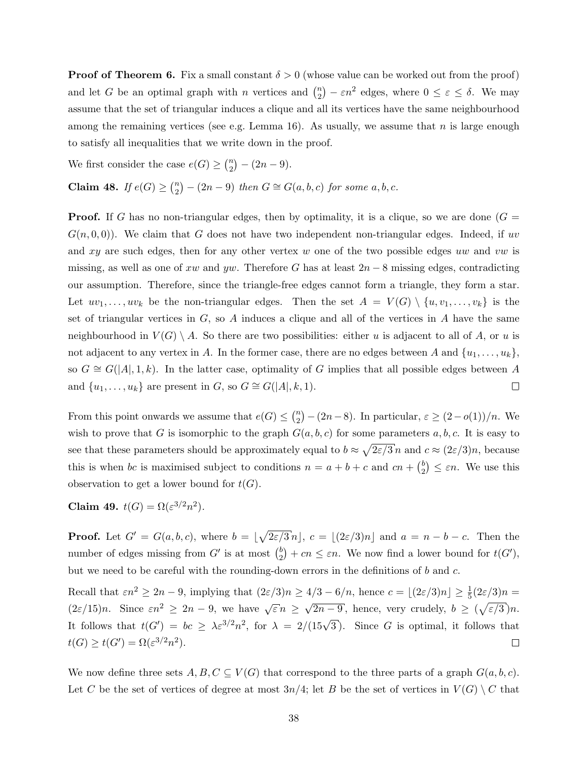**Proof of Theorem [6.](#page-4-0)** Fix a small constant  $\delta > 0$  (whose value can be worked out from the proof) and let G be an optimal graph with n vertices and  $\binom{n}{2}$  $\binom{n}{2} - \varepsilon n^2$  edges, where  $0 \le \varepsilon \le \delta$ . We may assume that the set of triangular induces a clique and all its vertices have the same neighbourhood among the remaining vertices (see e.g. Lemma [16\)](#page-11-0). As usually, we assume that  $n$  is large enough to satisfy all inequalities that we write down in the proof.

We first consider the case  $e(G) \geq {n \choose 2}$  $\binom{n}{2} - (2n - 9).$ 

Claim 48. If  $e(G) \geq {n \choose 2}$  $\binom{n}{2} - (2n-9)$  then  $G \cong G(a, b, c)$  for some  $a, b, c$ .

**Proof.** If G has no non-triangular edges, then by optimality, it is a clique, so we are done  $(G =$  $G(n, 0, 0)$ . We claim that G does not have two independent non-triangular edges. Indeed, if uv and xy are such edges, then for any other vertex w one of the two possible edges uw and vw is missing, as well as one of xw and yw. Therefore G has at least  $2n-8$  missing edges, contradicting our assumption. Therefore, since the triangle-free edges cannot form a triangle, they form a star. Let  $uv_1, \ldots, uv_k$  be the non-triangular edges. Then the set  $A = V(G) \setminus \{u, v_1, \ldots, v_k\}$  is the set of triangular vertices in  $G$ , so  $A$  induces a clique and all of the vertices in  $A$  have the same neighbourhood in  $V(G) \setminus A$ . So there are two possibilities: either u is adjacent to all of A, or u is not adjacent to any vertex in A. In the former case, there are no edges between A and  $\{u_1, \ldots, u_k\}$ , so  $G \cong G(|A|, 1, k)$ . In the latter case, optimality of G implies that all possible edges between A and  $\{u_1, \ldots, u_k\}$  are present in G, so  $G \cong G(|A|, k, 1)$ .  $\Box$ 

From this point onwards we assume that  $e(G) \leq {n \choose 2}$  $\binom{n}{2} - (2n-8)$ . In particular,  $\varepsilon \ge (2 - o(1))/n$ . We wish to prove that G is isomorphic to the graph  $G(a, b, c)$  for some parameters  $a, b, c$ . It is easy to see that these parameters should be approximately equal to  $b \approx \sqrt{2\varepsilon/3}n$  and  $c \approx (2\varepsilon/3)n$ , because this is when bc is maximised subject to conditions  $n = a + b + c$  and  $cn + \binom{b}{2}$  $\binom{b}{2} \leq \varepsilon n$ . We use this observation to get a lower bound for  $t(G)$ .

Claim 49.  $t(G) = \Omega(\varepsilon^{3/2} n^2)$ .

**Proof.** Let  $G' = G(a, b, c)$ , where  $b = \lfloor \sqrt{2\varepsilon/3}n \rfloor$ ,  $c = \lfloor (2\varepsilon/3)n \rfloor$  and  $a = n - b - c$ . Then the number of edges missing from  $G'$  is at most  $\binom{b}{2}$  $e_2^{(b)}$  +  $cn \leq \varepsilon n$ . We now find a lower bound for  $t(G')$ , but we need to be careful with the rounding-down errors in the definitions of b and c.

Recall that  $\varepsilon n^2 \ge 2n - 9$ , implying that  $(2\varepsilon/3)n \ge 4/3 - 6/n$ , hence  $c = \lfloor (2\varepsilon/3)n \rfloor \ge \frac{1}{5}(2\varepsilon/3)n =$ √  $(2\varepsilon/15)n$ . Since  $\varepsilon n^2 \geq 2n-9$ , we have  $\sqrt{\varepsilon} n \geq$  $\overline{2n-9}$ , hence, very crudely,  $b \ge (\sqrt{\varepsilon/3})n$ . It follows that  $t(G') = bc \geq \lambda \varepsilon^{3/2} n^2$ , for  $\lambda = 2/(15\sqrt{3})$ . Since G is optimal, it follows that  $t(G) \geq t(G') = \Omega(\varepsilon^{3/2} n^2).$  $\Box$ 

We now define three sets  $A, B, C \subseteq V(G)$  that correspond to the three parts of a graph  $G(a, b, c)$ . Let C be the set of vertices of degree at most  $3n/4$ ; let B be the set of vertices in  $V(G) \setminus C$  that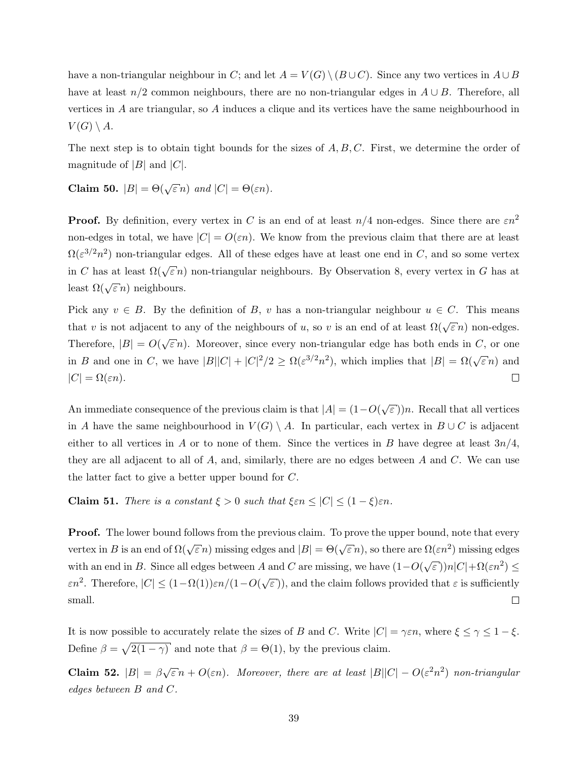have a non-triangular neighbour in C; and let  $A = V(G) \setminus (B \cup C)$ . Since any two vertices in  $A \cup B$ have at least  $n/2$  common neighbours, there are no non-triangular edges in  $A \cup B$ . Therefore, all vertices in A are triangular, so A induces a clique and its vertices have the same neighbourhood in  $V(G)\setminus A.$ 

The next step is to obtain tight bounds for the sizes of  $A, B, C$ . First, we determine the order of magnitude of  $|B|$  and  $|C|$ .

Claim 50.  $|B| = \Theta(\sqrt{\varepsilon} n)$  and  $|C| = \Theta(\varepsilon n)$ .

**Proof.** By definition, every vertex in C is an end of at least  $n/4$  non-edges. Since there are  $\epsilon n^2$ non-edges in total, we have  $|C| = O(\varepsilon n)$ . We know from the previous claim that there are at least  $\Omega(\varepsilon^{3/2}n^2)$  non-triangular edges. All of these edges have at least one end in C, and so some vertex in C has at least  $\Omega(\sqrt{\varepsilon} n)$  non-triangular neighbours. By Observation [8,](#page-5-2) every vertex in G has at least  $\Omega(\sqrt{\varepsilon} n)$  neighbours.

Pick any  $v \in B$ . By the definition of B, v has a non-triangular neighbour  $u \in C$ . This means that v is not adjacent to any of the neighbours of u, so v is an end of at least  $\Omega(\sqrt{\varepsilon} n)$  non-edges. Therefore,  $|B| = O(\sqrt{\frac{2}{\sqrt{3}}})$  $\epsilon n$ ). Moreover, since every non-triangular edge has both ends in C, or one in B and one in C, we have  $|B||C| + |C|^2/2 \ge \Omega(\varepsilon^{3/2}n^2)$ , which implies that  $|B| = \Omega(\sqrt{\varepsilon}n)$  and  $|C| = \Omega(\varepsilon n).$  $\Box$ 

An immediate consequence of the previous claim is that  $|A| = (1 - O(\sqrt{\sqrt{\frac{2}{n}}})$  $\epsilon$ ))n. Recall that all vertices in A have the same neighbourhood in  $V(G) \setminus A$ . In particular, each vertex in  $B \cup C$  is adjacent either to all vertices in A or to none of them. Since the vertices in B have degree at least  $3n/4$ , they are all adjacent to all of  $A$ , and, similarly, there are no edges between  $A$  and  $C$ . We can use the latter fact to give a better upper bound for C.

**Claim 51.** There is a constant  $\xi > 0$  such that  $\xi \in n \leq |C| \leq (1 - \xi) \in n$ .

**Proof.** The lower bound follows from the previous claim. To prove the upper bound, note that every vertex in B is an end of  $\Omega(\sqrt{\varepsilon} n)$  missing edges and  $|B| = \Theta(\sqrt{\varepsilon} n)$ , so there are  $\Omega(\varepsilon n^2)$  missing edges with an end in B. Since all edges between A and C are missing, we have  $(1-O(\sqrt{\varepsilon}))n|C|+ \Omega(\varepsilon n^2) \leq$  $\varepsilon n^2$ . Therefore,  $|C| \leq (1-\Omega(1))\varepsilon n/(1-O(\sqrt{\varepsilon}))$  $(\varepsilon))$ , and the claim follows provided that  $\varepsilon$  is sufficiently small.  $\Box$ 

It is now possible to accurately relate the sizes of B and C. Write  $|C| = \gamma \varepsilon n$ , where  $\xi \le \gamma \le 1 - \xi$ . Define  $\beta = \sqrt{2(1-\gamma)}$  and note that  $\beta = \Theta(1)$ , by the previous claim.

<span id="page-38-0"></span>**Claim 52.**  $|B| = \beta \sqrt{\varepsilon} n + O(\varepsilon n)$ . Moreover, there are at least  $|B||C| - O(\varepsilon^2 n^2)$  non-triangular edges between B and C.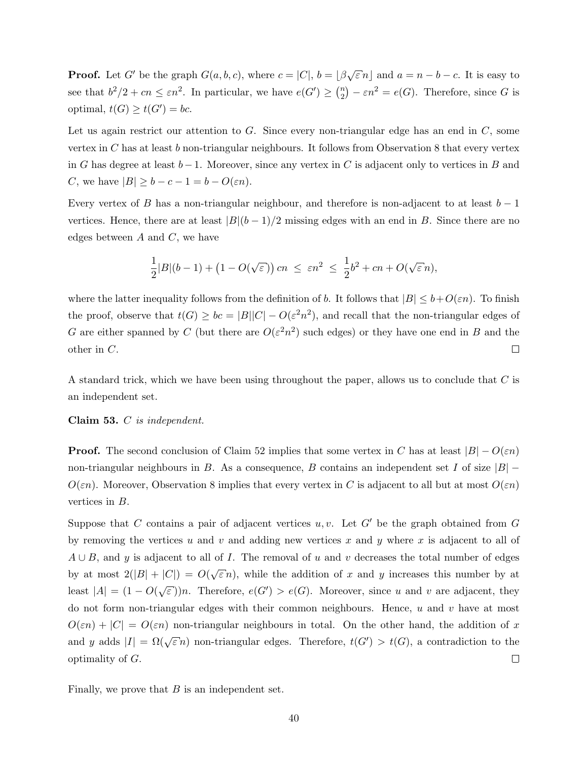**Proof.** Let G' be the graph  $G(a, b, c)$ , where  $c = |C|$ ,  $b = |\beta \sqrt{\varepsilon} n|$  and  $a = n - b - c$ . It is easy to see that  $b^2/2 + cn \leq \varepsilon n^2$ . In particular, we have  $e(G') \geq {n \choose 2}$  $e_2^n$ ) –  $\varepsilon n^2 = e(G)$ . Therefore, since G is optimal,  $t(G) \geq t(G') = bc$ .

Let us again restrict our attention to  $G$ . Since every non-triangular edge has an end in  $C$ , some vertex in  $C$  has at least  $b$  non-triangular neighbours. It follows from Observation [8](#page-5-2) that every vertex in G has degree at least  $b-1$ . Moreover, since any vertex in C is adjacent only to vertices in B and C, we have  $|B| \ge b - c - 1 = b - O(\varepsilon n)$ .

Every vertex of B has a non-triangular neighbour, and therefore is non-adjacent to at least  $b-1$ vertices. Hence, there are at least  $|B|(b-1)/2$  missing edges with an end in B. Since there are no edges between  $A$  and  $C$ , we have

$$
\frac{1}{2}|B|(b-1) + (1 - O(\sqrt{\varepsilon})) cn \le \varepsilon n^2 \le \frac{1}{2}b^2 + cn + O(\sqrt{\varepsilon}n),
$$

where the latter inequality follows from the definition of b. It follows that  $|B| \leq b + O(\varepsilon n)$ . To finish the proof, observe that  $t(G) \geq bc = |B||C| - O(\varepsilon^2 n^2)$ , and recall that the non-triangular edges of G are either spanned by C (but there are  $O(\varepsilon^2 n^2)$  such edges) or they have one end in B and the other in C.  $\Box$ 

A standard trick, which we have been using throughout the paper, allows us to conclude that C is an independent set.

#### <span id="page-39-0"></span>Claim 53. C is independent.

**Proof.** The second conclusion of Claim [52](#page-38-0) implies that some vertex in C has at least  $|B| - O(\varepsilon n)$ non-triangular neighbours in B. As a consequence, B contains an independent set I of size  $|B|$  –  $O(\varepsilon n)$ . Moreover, Observation [8](#page-5-2) implies that every vertex in C is adjacent to all but at most  $O(\varepsilon n)$ vertices in B.

Suppose that C contains a pair of adjacent vertices  $u, v$ . Let  $G'$  be the graph obtained from G by removing the vertices u and v and adding new vertices x and y where x is adjacent to all of  $A \cup B$ , and y is adjacent to all of I. The removal of u and v decreases the total number of edges by at most  $2(|B|+|C|) = O(\sqrt{\frac{2}{\pi}})$  $\in$  n), while the addition of x and y increases this number by at least  $|A| = (1 - O(\sqrt{\frac{1}{2}}))$  $\epsilon(\epsilon E)$ )n. Therefore,  $e(G') > e(G)$ . Moreover, since u and v are adjacent, they do not form non-triangular edges with their common neighbours. Hence,  $u$  and  $v$  have at most  $O(\varepsilon n) + |C| = O(\varepsilon n)$  non-triangular neighbours in total. On the other hand, the addition of x and y adds  $|I| = \Omega(\sqrt{\varepsilon} n)$  non-triangular edges. Therefore,  $t(G') > t(G)$ , a contradiction to the optimality of G.  $\Box$ 

Finally, we prove that  $B$  is an independent set.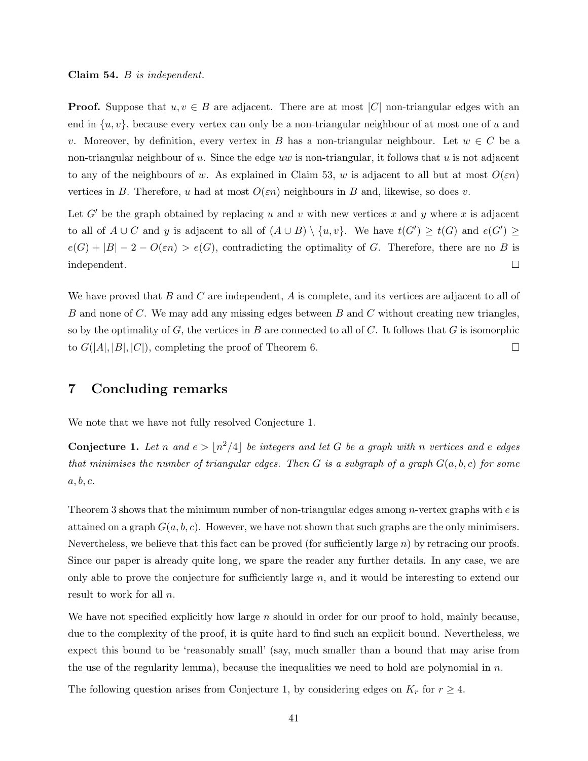**Proof.** Suppose that  $u, v \in B$  are adjacent. There are at most |C| non-triangular edges with an end in  $\{u, v\}$ , because every vertex can only be a non-triangular neighbour of at most one of u and v. Moreover, by definition, every vertex in B has a non-triangular neighbour. Let  $w \in C$  be a non-triangular neighbour of u. Since the edge uw is non-triangular, it follows that u is not adjacent to any of the neighbours of w. As explained in Claim [53,](#page-39-0) w is adjacent to all but at most  $O(\varepsilon n)$ vertices in B. Therefore, u had at most  $O(\varepsilon n)$  neighbours in B and, likewise, so does v.

Let G' be the graph obtained by replacing u and v with new vertices x and y where x is adjacent to all of  $A\cup C$  and y is adjacent to all of  $(A\cup B)\setminus \{u,v\}$ . We have  $t(G')\geq t(G)$  and  $e(G')\geq$  $e(G) + |B| - 2 - O(\varepsilon n) > e(G)$ , contradicting the optimality of G. Therefore, there are no B is independent.  $\Box$ 

We have proved that  $B$  and  $C$  are independent,  $A$  is complete, and its vertices are adjacent to all of B and none of C. We may add any missing edges between B and C without creating new triangles, so by the optimality of  $G$ , the vertices in  $B$  are connected to all of  $C$ . It follows that  $G$  is isomorphic to  $G(|A|, |B|, |C|)$ , completing the proof of Theorem [6.](#page-4-0)  $\Box$ 

### <span id="page-40-0"></span>7 Concluding remarks

We note that we have not fully resolved Conjecture [1.](#page-2-0)

**Conjecture 1.** Let n and  $e > \lfloor n^2/4 \rfloor$  be integers and let G be a graph with n vertices and e edges that minimises the number of triangular edges. Then G is a subgraph of a graph  $G(a, b, c)$  for some  $a, b, c.$ 

Theorem [3](#page-3-0) shows that the minimum number of non-triangular edges among *n*-vertex graphs with  $e$  is attained on a graph  $G(a, b, c)$ . However, we have not shown that such graphs are the only minimisers. Nevertheless, we believe that this fact can be proved (for sufficiently large  $n$ ) by retracing our proofs. Since our paper is already quite long, we spare the reader any further details. In any case, we are only able to prove the conjecture for sufficiently large  $n$ , and it would be interesting to extend our result to work for all *n*.

We have not specified explicitly how large  $n$  should in order for our proof to hold, mainly because, due to the complexity of the proof, it is quite hard to find such an explicit bound. Nevertheless, we expect this bound to be 'reasonably small' (say, much smaller than a bound that may arise from the use of the regularity lemma), because the inequalities we need to hold are polynomial in  $n$ .

The following question arises from Conjecture [1,](#page-2-0) by considering edges on  $K_r$  for  $r \geq 4$ .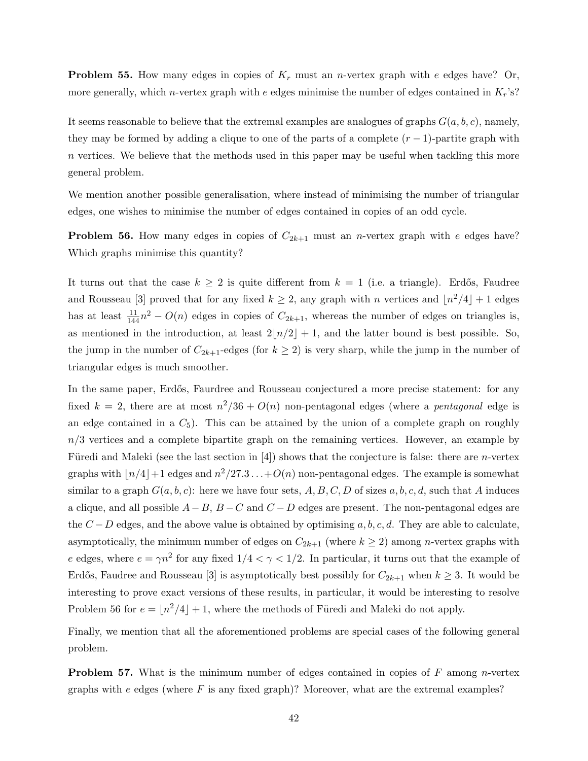**Problem 55.** How many edges in copies of  $K_r$  must an *n*-vertex graph with e edges have? Or, more generally, which *n*-vertex graph with e edges minimise the number of edges contained in  $K_r$ 's?

It seems reasonable to believe that the extremal examples are analogues of graphs  $G(a, b, c)$ , namely, they may be formed by adding a clique to one of the parts of a complete  $(r-1)$ -partite graph with  $n$  vertices. We believe that the methods used in this paper may be useful when tackling this more general problem.

We mention another possible generalisation, where instead of minimising the number of triangular edges, one wishes to minimise the number of edges contained in copies of an odd cycle.

<span id="page-41-0"></span>**Problem 56.** How many edges in copies of  $C_{2k+1}$  must an *n*-vertex graph with e edges have? Which graphs minimise this quantity?

It turns out that the case  $k \geq 2$  is quite different from  $k = 1$  (i.e. a triangle). Erdős, Faudree and Rousseau [\[3\]](#page-42-7) proved that for any fixed  $k \geq 2$ , any graph with n vertices and  $\lfloor n^2/4 \rfloor + 1$  edges has at least  $\frac{11}{144}n^2 - O(n)$  edges in copies of  $C_{2k+1}$ , whereas the number of edges on triangles is, as mentioned in the introduction, at least  $2\lfloor n/2 \rfloor + 1$ , and the latter bound is best possible. So, the jump in the number of  $C_{2k+1}$ -edges (for  $k \geq 2$ ) is very sharp, while the jump in the number of triangular edges is much smoother.

In the same paper, Erdős, Faurdree and Rousseau conjectured a more precise statement: for any fixed  $k = 2$ , there are at most  $n^2/36 + O(n)$  non-pentagonal edges (where a *pentagonal* edge is an edge contained in a  $C_5$ . This can be attained by the union of a complete graph on roughly  $n/3$  vertices and a complete bipartite graph on the remaining vertices. However, an example by Füredi and Maleki (see the last section in [\[4\]](#page-42-8)) shows that the conjecture is false: there are *n*-vertex graphs with  $\lfloor n/4 \rfloor + 1$  edges and  $n^2/27.3 \ldots + O(n)$  non-pentagonal edges. The example is somewhat similar to a graph  $G(a, b, c)$ : here we have four sets, A, B, C, D of sizes  $a, b, c, d$ , such that A induces a clique, and all possible  $A-B$ ,  $B-C$  and  $C-D$  edges are present. The non-pentagonal edges are the  $C - D$  edges, and the above value is obtained by optimising a, b, c, d. They are able to calculate, asymptotically, the minimum number of edges on  $C_{2k+1}$  (where  $k \geq 2$ ) among *n*-vertex graphs with e edges, where  $e = \gamma n^2$  for any fixed  $1/4 < \gamma < 1/2$ . In particular, it turns out that the example of Erdős, Faudree and Rousseau [\[3\]](#page-42-7) is asymptotically best possibly for  $C_{2k+1}$  when  $k \geq 3$ . It would be interesting to prove exact versions of these results, in particular, it would be interesting to resolve Problem [56](#page-41-0) for  $e = \lfloor n^2/4 \rfloor + 1$ , where the methods of Füredi and Maleki do not apply.

Finally, we mention that all the aforementioned problems are special cases of the following general problem.

**Problem 57.** What is the minimum number of edges contained in copies of  $F$  among n-vertex graphs with  $e$  edges (where  $F$  is any fixed graph)? Moreover, what are the extremal examples?